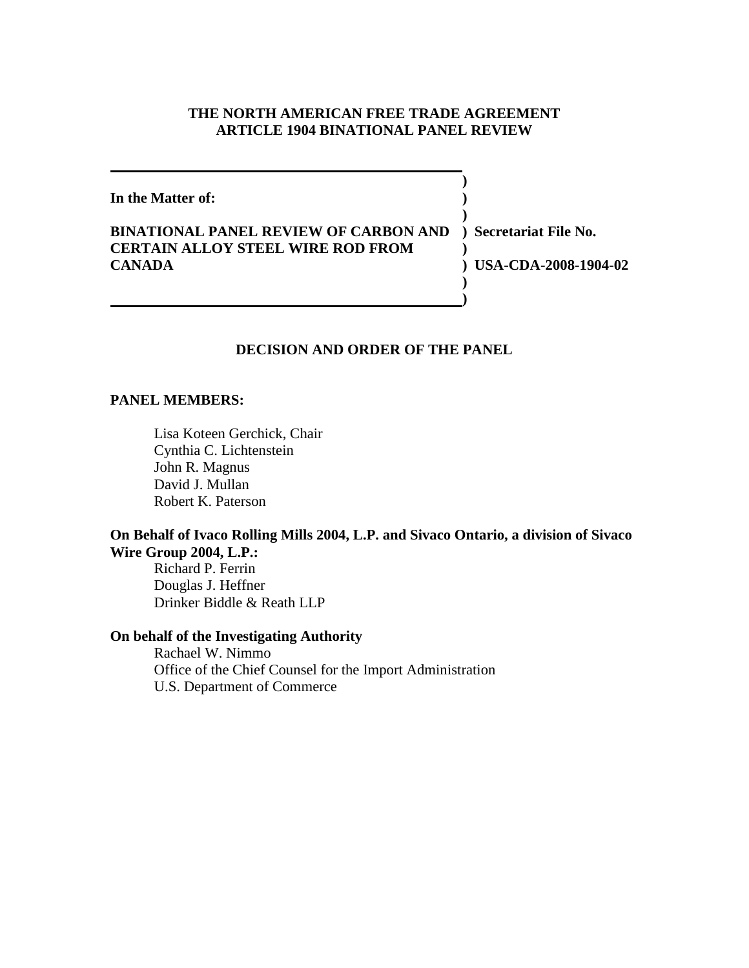## **THE NORTH AMERICAN FREE TRADE AGREEMENT ARTICLE 1904 BINATIONAL PANEL REVIEW**

**) In the Matter of: ) ) BINATIONAL PANEL REVIEW OF CARBON AND ) Secretariat File No. CERTAIN ALLOY STEEL WIRE ROD FROM ) CANADA ) USA-CDA-2008-1904-02 ) )**

## **DECISION AND ORDER OF THE PANEL**

### **PANEL MEMBERS:**

Lisa Koteen Gerchick, Chair Cynthia C. Lichtenstein John R. Magnus David J. Mullan Robert K. Paterson

## **On Behalf of Ivaco Rolling Mills 2004, L.P. and Sivaco Ontario, a division of Sivaco Wire Group 2004, L.P.:**

Richard P. Ferrin Douglas J. Heffner Drinker Biddle & Reath LLP

### **On behalf of the Investigating Authority**

Rachael W. Nimmo Office of the Chief Counsel for the Import Administration U.S. Department of Commerce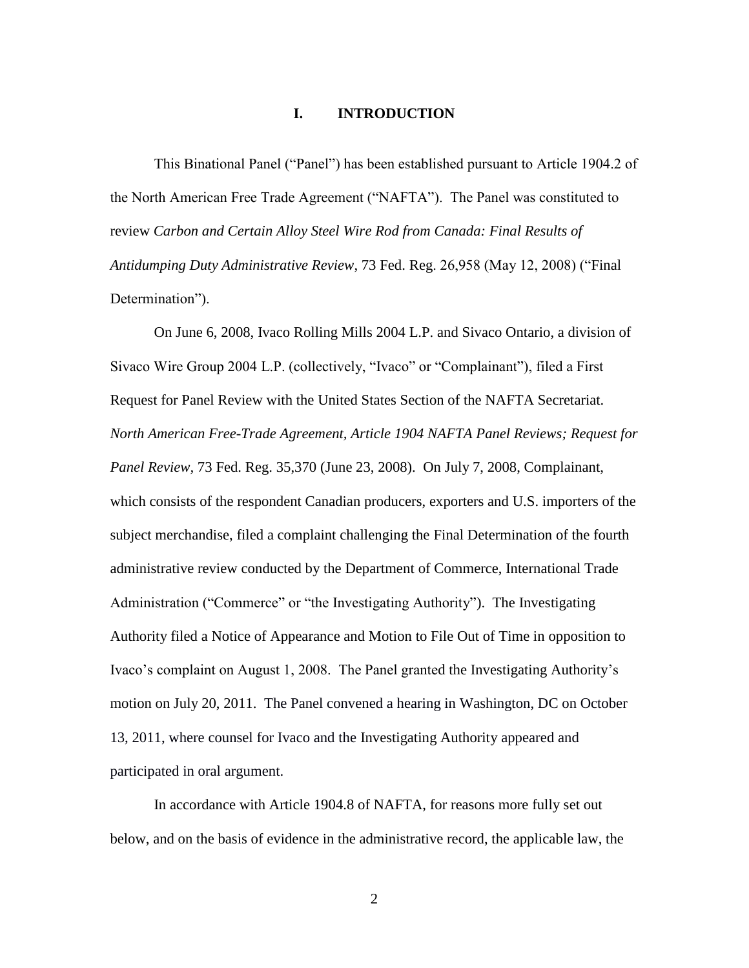## **I. INTRODUCTION**

This Binational Panel ("Panel") has been established pursuant to Article 1904.2 of the North American Free Trade Agreement ("NAFTA"). The Panel was constituted to review *Carbon and Certain Alloy Steel Wire Rod from Canada: Final Results of Antidumping Duty Administrative Review*, 73 Fed. Reg. 26,958 (May 12, 2008) ("Final Determination").

On June 6, 2008, Ivaco Rolling Mills 2004 L.P. and Sivaco Ontario, a division of Sivaco Wire Group 2004 L.P. (collectively, "Ivaco" or "Complainant"), filed a First Request for Panel Review with the United States Section of the NAFTA Secretariat. *North American Free-Trade Agreement, Article 1904 NAFTA Panel Reviews; Request for Panel Review,* 73 Fed. Reg. 35,370 (June 23, 2008). On July 7, 2008, Complainant, which consists of the respondent Canadian producers, exporters and U.S. importers of the subject merchandise, filed a complaint challenging the Final Determination of the fourth administrative review conducted by the Department of Commerce, International Trade Administration ("Commerce" or "the Investigating Authority"). The Investigating Authority filed a Notice of Appearance and Motion to File Out of Time in opposition to Ivaco's complaint on August 1, 2008. The Panel granted the Investigating Authority's motion on July 20, 2011. The Panel convened a hearing in Washington, DC on October 13, 2011, where counsel for Ivaco and the Investigating Authority appeared and participated in oral argument.

In accordance with Article 1904.8 of NAFTA, for reasons more fully set out below, and on the basis of evidence in the administrative record, the applicable law, the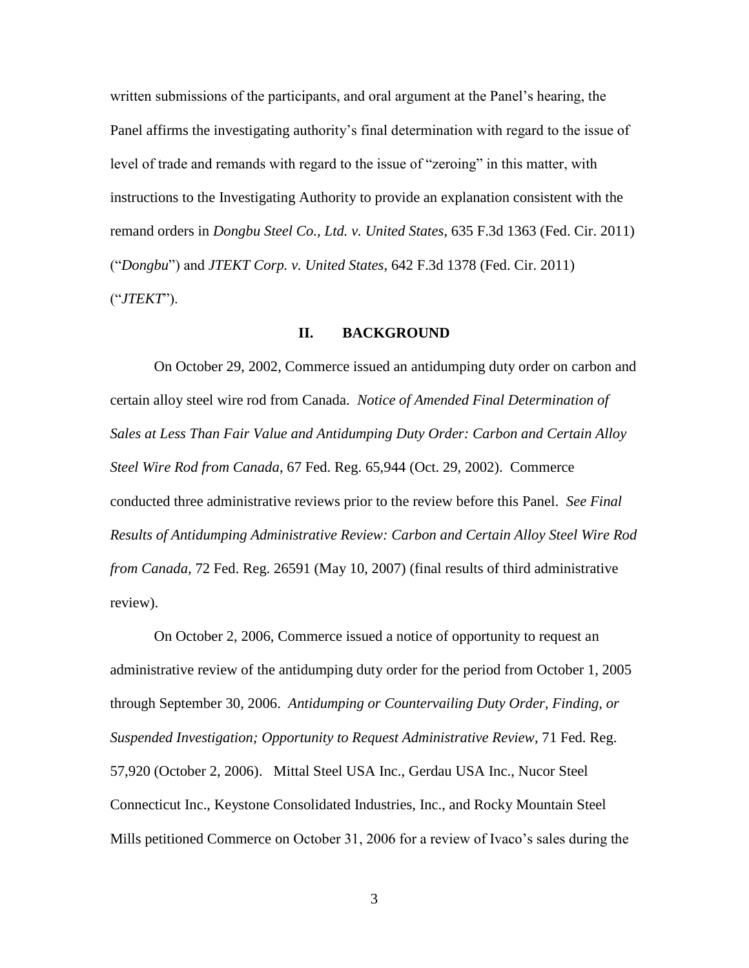written submissions of the participants, and oral argument at the Panel's hearing, the Panel affirms the investigating authority's final determination with regard to the issue of level of trade and remands with regard to the issue of "zeroing" in this matter, with instructions to the Investigating Authority to provide an explanation consistent with the remand orders in *Dongbu Steel Co., Ltd. v. United States*, 635 F.3d 1363 (Fed. Cir. 2011) ("*Dongbu*") and *JTEKT Corp. v. United States*, 642 F.3d 1378 (Fed. Cir. 2011) ("*JTEKT*").

## **II. BACKGROUND**

On October 29, 2002, Commerce issued an antidumping duty order on carbon and certain alloy steel wire rod from Canada. *Notice of Amended Final Determination of Sales at Less Than Fair Value and Antidumping Duty Order: Carbon and Certain Alloy Steel Wire Rod from Canada*, 67 Fed. Reg. 65,944 (Oct. 29, 2002). Commerce conducted three administrative reviews prior to the review before this Panel. *See Final Results of Antidumping Administrative Review: Carbon and Certain Alloy Steel Wire Rod from Canada,* 72 Fed. Reg. 26591 (May 10, 2007) (final results of third administrative review).

On October 2, 2006, Commerce issued a notice of opportunity to request an administrative review of the antidumping duty order for the period from October 1, 2005 through September 30, 2006. *Antidumping or Countervailing Duty Order, Finding, or Suspended Investigation; Opportunity to Request Administrative Review*, 71 Fed. Reg. 57,920 (October 2, 2006). Mittal Steel USA Inc., Gerdau USA Inc., Nucor Steel Connecticut Inc., Keystone Consolidated Industries, Inc., and Rocky Mountain Steel Mills petitioned Commerce on October 31, 2006 for a review of Ivaco's sales during the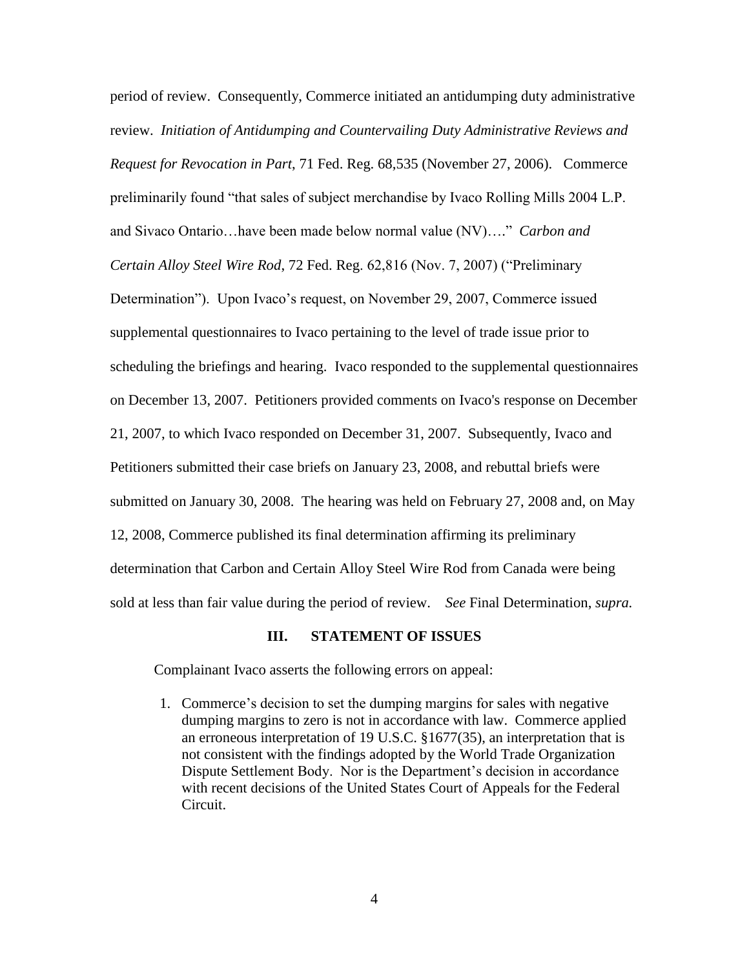period of review. Consequently, Commerce initiated an antidumping duty administrative review. *Initiation of Antidumping and Countervailing Duty Administrative Reviews and Request for Revocation in Part*, 71 Fed. Reg. 68,535 (November 27, 2006). Commerce preliminarily found "that sales of subject merchandise by Ivaco Rolling Mills 2004 L.P. and Sivaco Ontario…have been made below normal value (NV)…." *Carbon and Certain Alloy Steel Wire Rod*, 72 Fed. Reg. 62,816 (Nov. 7, 2007) ("Preliminary Determination"). Upon Ivaco's request, on November 29, 2007, Commerce issued supplemental questionnaires to Ivaco pertaining to the level of trade issue prior to scheduling the briefings and hearing. Ivaco responded to the supplemental questionnaires on December 13, 2007. Petitioners provided comments on Ivaco's response on December 21, 2007, to which Ivaco responded on December 31, 2007. Subsequently, Ivaco and Petitioners submitted their case briefs on January 23, 2008, and rebuttal briefs were submitted on January 30, 2008. The hearing was held on February 27, 2008 and, on May 12, 2008, Commerce published its final determination affirming its preliminary determination that Carbon and Certain Alloy Steel Wire Rod from Canada were being sold at less than fair value during the period of review. *See* Final Determination, *supra.*

#### **III. STATEMENT OF ISSUES**

Complainant Ivaco asserts the following errors on appeal:

1. Commerce's decision to set the dumping margins for sales with negative dumping margins to zero is not in accordance with law. Commerce applied an erroneous interpretation of 19 U.S.C. §1677(35), an interpretation that is not consistent with the findings adopted by the World Trade Organization Dispute Settlement Body. Nor is the Department's decision in accordance with recent decisions of the United States Court of Appeals for the Federal Circuit.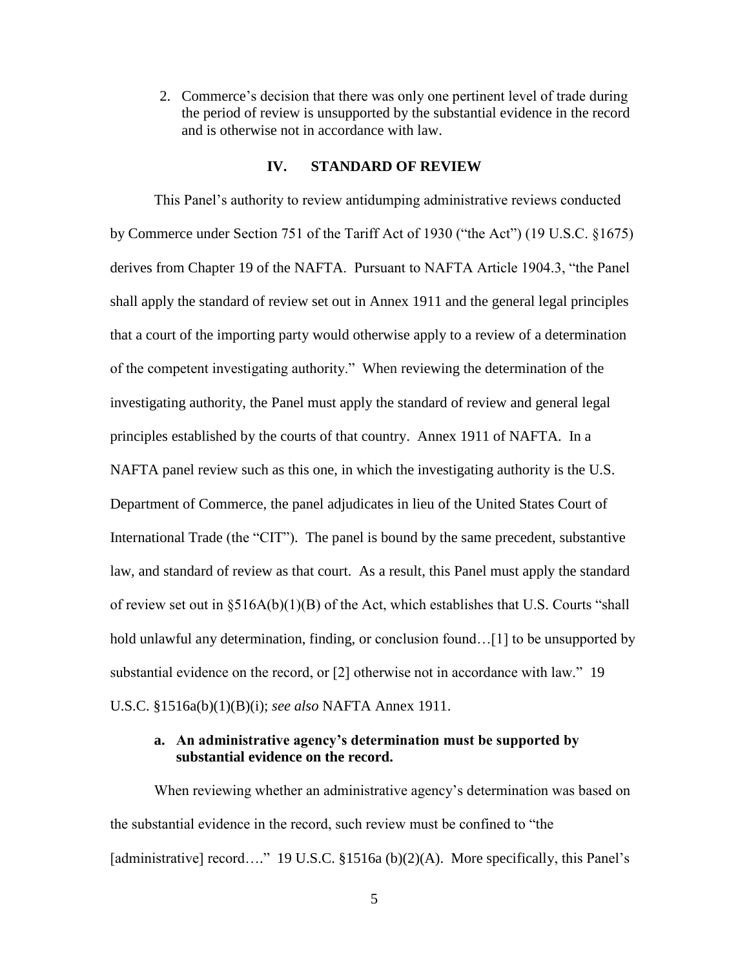2. Commerce's decision that there was only one pertinent level of trade during the period of review is unsupported by the substantial evidence in the record and is otherwise not in accordance with law.

### **IV. STANDARD OF REVIEW**

This Panel's authority to review antidumping administrative reviews conducted by Commerce under Section 751 of the Tariff Act of 1930 ("the Act") (19 U.S.C. §1675) derives from Chapter 19 of the NAFTA. Pursuant to NAFTA Article 1904.3, "the Panel shall apply the standard of review set out in Annex 1911 and the general legal principles that a court of the importing party would otherwise apply to a review of a determination of the competent investigating authority." When reviewing the determination of the investigating authority, the Panel must apply the standard of review and general legal principles established by the courts of that country. Annex 1911 of NAFTA. In a NAFTA panel review such as this one, in which the investigating authority is the U.S. Department of Commerce, the panel adjudicates in lieu of the United States Court of International Trade (the "CIT"). The panel is bound by the same precedent, substantive law, and standard of review as that court. As a result, this Panel must apply the standard of review set out in §516A(b)(1)(B) of the Act, which establishes that U.S. Courts "shall hold unlawful any determination, finding, or conclusion found...[1] to be unsupported by substantial evidence on the record, or [2] otherwise not in accordance with law." 19 U.S.C. §1516a(b)(1)(B)(i); *see also* NAFTA Annex 1911.

## **a. An administrative agency's determination must be supported by substantial evidence on the record.**

When reviewing whether an administrative agency's determination was based on the substantial evidence in the record, such review must be confined to "the [administrative] record…." 19 U.S.C. §1516a (b)(2)(A). More specifically, this Panel's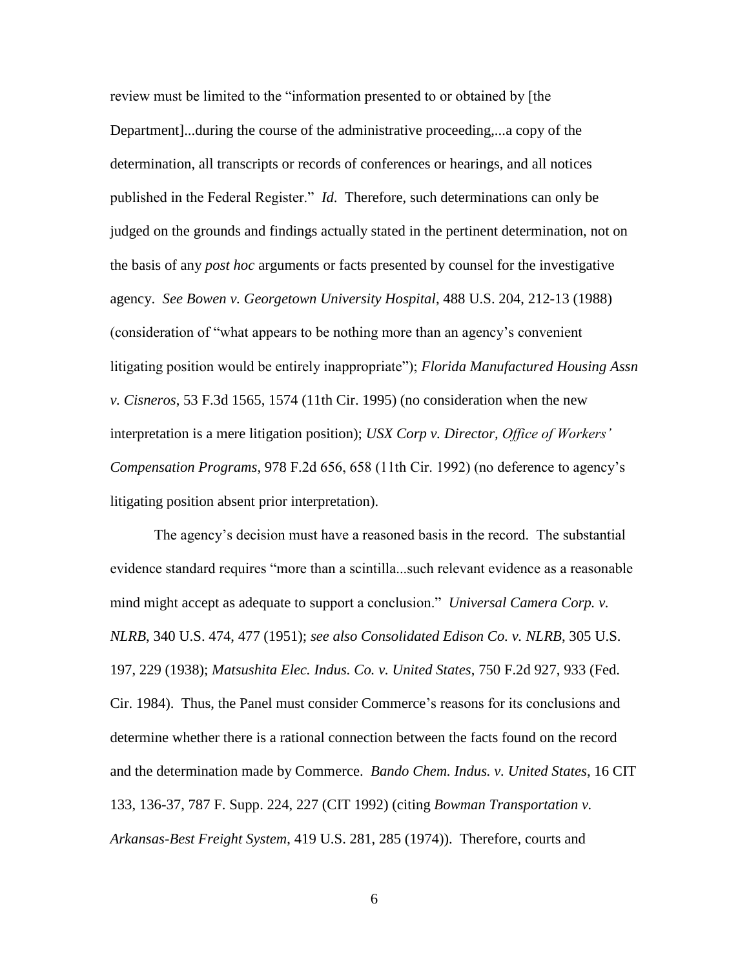review must be limited to the "information presented to or obtained by [the Department]...during the course of the administrative proceeding,...a copy of the determination, all transcripts or records of conferences or hearings, and all notices published in the Federal Register." *Id*. Therefore, such determinations can only be judged on the grounds and findings actually stated in the pertinent determination, not on the basis of any *post hoc* arguments or facts presented by counsel for the investigative agency. *See Bowen v. Georgetown University Hospital*, 488 U.S. 204, 212-13 (1988) (consideration of "what appears to be nothing more than an agency's convenient litigating position would be entirely inappropriate"); *Florida Manufactured Housing Assn v. Cisneros*, 53 F.3d 1565, 1574 (11th Cir. 1995) (no consideration when the new interpretation is a mere litigation position); *USX Corp v. Director, Office of Workers' Compensation Programs*, 978 F.2d 656, 658 (11th Cir. 1992) (no deference to agency's litigating position absent prior interpretation).

The agency's decision must have a reasoned basis in the record. The substantial evidence standard requires "more than a scintilla...such relevant evidence as a reasonable mind might accept as adequate to support a conclusion." *Universal Camera Corp. v. NLRB*, 340 U.S. 474, 477 (1951); *see also Consolidated Edison Co. v. NLRB*, 305 U.S. 197, 229 (1938); *Matsushita Elec. Indus. Co. v. United States*, 750 F.2d 927, 933 (Fed. Cir. 1984). Thus, the Panel must consider Commerce's reasons for its conclusions and determine whether there is a rational connection between the facts found on the record and the determination made by Commerce. *Bando Chem. Indus. v. United States*, 16 CIT 133, 136-37, 787 F. Supp. 224, 227 (CIT 1992) (citing *Bowman Transportation v. Arkansas-Best Freight System*, 419 U.S. 281, 285 (1974)). Therefore, courts and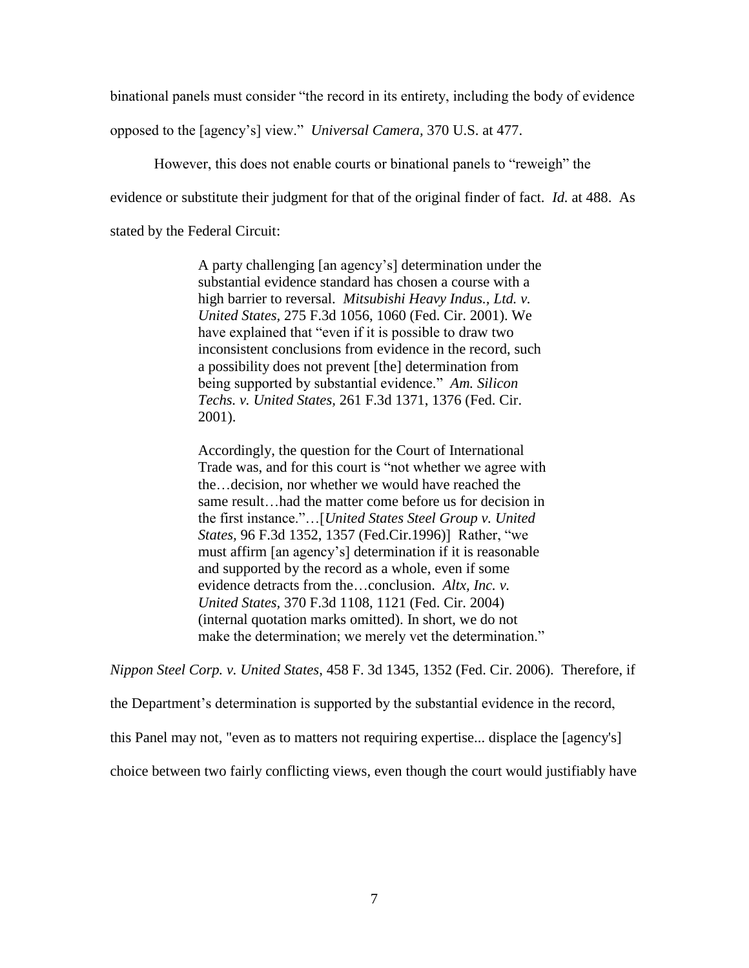binational panels must consider "the record in its entirety, including the body of evidence

opposed to the [agency's] view." *Universal Camera,* 370 U.S. at 477.

However, this does not enable courts or binational panels to "reweigh" the

evidence or substitute their judgment for that of the original finder of fact. *Id.* at 488. As

stated by the Federal Circuit:

A party challenging [an agency's] determination under the substantial evidence standard has chosen a course with a high barrier to reversal. *Mitsubishi Heavy Indus., Ltd. v. United States,* 275 F.3d 1056, 1060 (Fed. Cir. 2001). We have explained that "even if it is possible to draw two inconsistent conclusions from evidence in the record, such a possibility does not prevent [the] determination from being supported by substantial evidence." *Am. Silicon Techs. v. United States,* 261 F.3d 1371, 1376 (Fed. Cir. 2001).

Accordingly, the question for the Court of International Trade was, and for this court is "not whether we agree with the…decision, nor whether we would have reached the same result…had the matter come before us for decision in the first instance."…[*United States Steel Group v. United States,* 96 F.3d 1352, 1357 (Fed.Cir.1996)] Rather, "we must affirm [an agency's] determination if it is reasonable and supported by the record as a whole, even if some evidence detracts from the…conclusion. *Altx, Inc. v. United States,* 370 F.3d 1108, 1121 (Fed. Cir. 2004) (internal quotation marks omitted). In short, we do not make the determination; we merely vet the determination."

*Nippon Steel Corp. v. United States*, 458 F. 3d 1345, 1352 (Fed. Cir. 2006). Therefore, if

the Department's determination is supported by the substantial evidence in the record,

this Panel may not, "even as to matters not requiring expertise... displace the [agency's]

choice between two fairly conflicting views, even though the court would justifiably have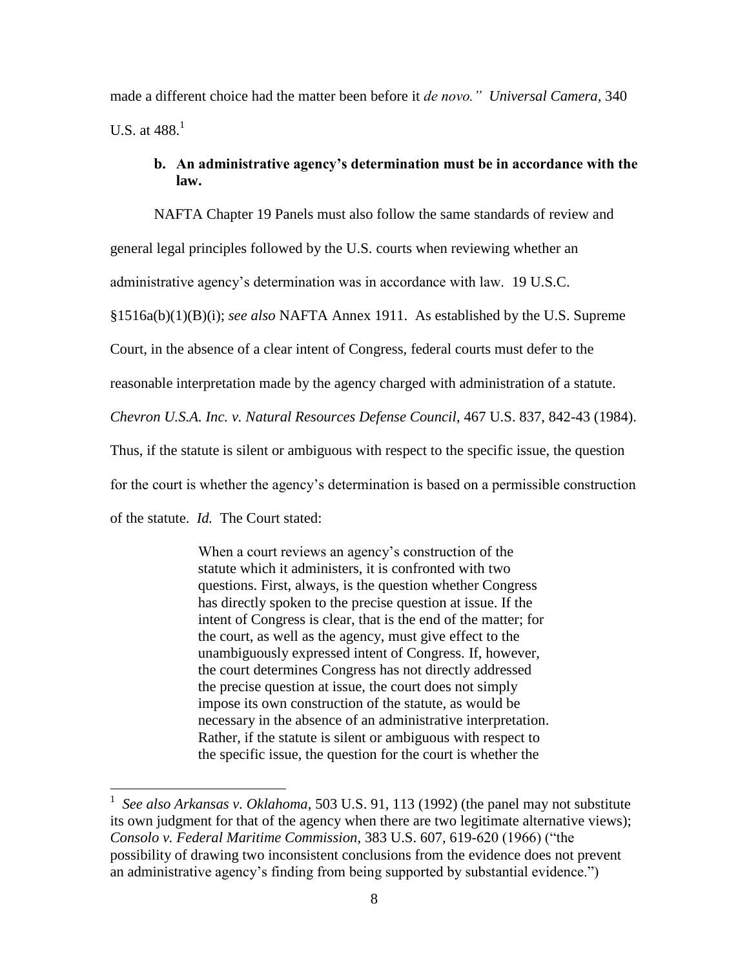made a different choice had the matter been before it *de novo." Universal Camera*, 340 U.S. at  $488<sup>1</sup>$ 

# **b. An administrative agency's determination must be in accordance with the law.**

NAFTA Chapter 19 Panels must also follow the same standards of review and

general legal principles followed by the U.S. courts when reviewing whether an

administrative agency's determination was in accordance with law. 19 U.S.C.

§1516a(b)(1)(B)(i); *see also* NAFTA Annex 1911. As established by the U.S. Supreme

Court, in the absence of a clear intent of Congress, federal courts must defer to the

reasonable interpretation made by the agency charged with administration of a statute.

*Chevron U.S.A. Inc. v. Natural Resources Defense Council*, 467 U.S. 837, 842-43 (1984).

Thus, if the statute is silent or ambiguous with respect to the specific issue, the question

for the court is whether the agency's determination is based on a permissible construction

of the statute. *Id.* The Court stated:

 $\overline{a}$ 

When a court reviews an agency's construction of the statute which it administers, it is confronted with two questions. First, always, is the question whether Congress has directly spoken to the precise question at issue. If the intent of Congress is clear, that is the end of the matter; for the court, as well as the agency, must give effect to the unambiguously expressed intent of Congress. If, however, the court determines Congress has not directly addressed the precise question at issue, the court does not simply impose its own construction of the statute, as would be necessary in the absence of an administrative interpretation. Rather, if the statute is silent or ambiguous with respect to the specific issue, the question for the court is whether the

<sup>1</sup> *See also Arkansas v. Oklahoma*, 503 U.S. 91, 113 (1992) (the panel may not substitute its own judgment for that of the agency when there are two legitimate alternative views); *Consolo v. Federal Maritime Commission*, 383 U.S. 607, 619-620 (1966) ("the possibility of drawing two inconsistent conclusions from the evidence does not prevent an administrative agency's finding from being supported by substantial evidence.")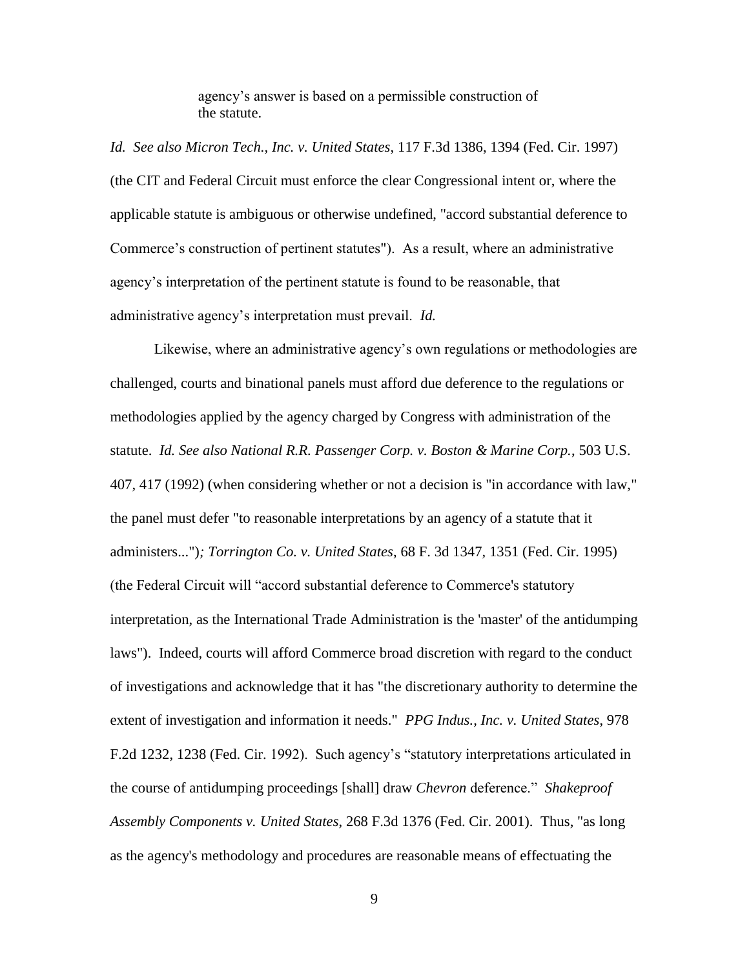agency's answer is based on a permissible construction of the statute.

*Id. See also Micron Tech., Inc. v. United States*, 117 F.3d 1386, 1394 (Fed. Cir. 1997) (the CIT and Federal Circuit must enforce the clear Congressional intent or, where the applicable statute is ambiguous or otherwise undefined, "accord substantial deference to Commerce's construction of pertinent statutes"). As a result, where an administrative agency's interpretation of the pertinent statute is found to be reasonable, that administrative agency's interpretation must prevail. *Id.*

Likewise, where an administrative agency's own regulations or methodologies are challenged, courts and binational panels must afford due deference to the regulations or methodologies applied by the agency charged by Congress with administration of the statute. *Id. See also National R.R. Passenger Corp. v. Boston & Marine Corp.*, 503 U.S. 407, 417 (1992) (when considering whether or not a decision is "in accordance with law," the panel must defer "to reasonable interpretations by an agency of a statute that it administers...")*; Torrington Co. v. United States*, 68 F. 3d 1347, 1351 (Fed. Cir. 1995) (the Federal Circuit will "accord substantial deference to Commerce's statutory interpretation, as the International Trade Administration is the 'master' of the antidumping laws"). Indeed, courts will afford Commerce broad discretion with regard to the conduct of investigations and acknowledge that it has "the discretionary authority to determine the extent of investigation and information it needs." *PPG Indus., Inc. v. United States*, 978 F.2d 1232, 1238 (Fed. Cir. 1992). Such agency's "statutory interpretations articulated in the course of antidumping proceedings [shall] draw *Chevron* deference." *Shakeproof Assembly Components v. United States*, 268 F.3d 1376 (Fed. Cir. 2001). Thus, "as long as the agency's methodology and procedures are reasonable means of effectuating the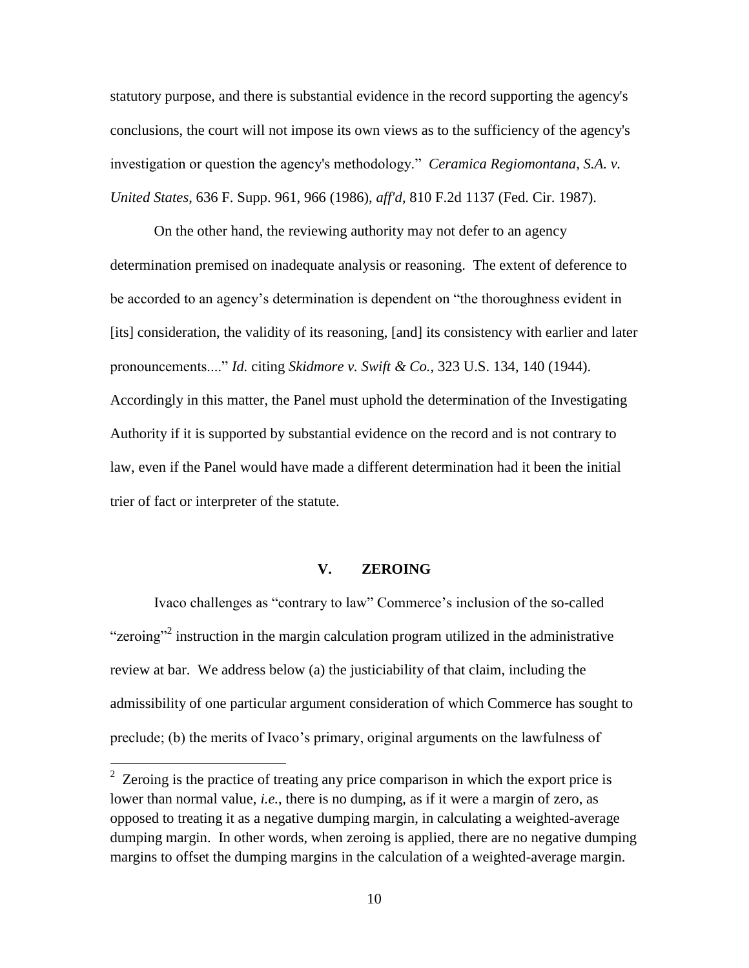statutory purpose, and there is substantial evidence in the record supporting the agency's conclusions, the court will not impose its own views as to the sufficiency of the agency's investigation or question the agency's methodology." *Ceramica Regiomontana, S.A. v. United States*, 636 F. Supp. 961, 966 (1986), *aff'd*, 810 F.2d 1137 (Fed. Cir. 1987).

On the other hand, the reviewing authority may not defer to an agency determination premised on inadequate analysis or reasoning. The extent of deference to be accorded to an agency's determination is dependent on "the thoroughness evident in [its] consideration, the validity of its reasoning, [and] its consistency with earlier and later pronouncements...." *Id.* citing *Skidmore v. Swift & Co.*, 323 U.S. 134, 140 (1944). Accordingly in this matter, the Panel must uphold the determination of the Investigating Authority if it is supported by substantial evidence on the record and is not contrary to law, even if the Panel would have made a different determination had it been the initial trier of fact or interpreter of the statute*.*

### **V. ZEROING**

Ivaco challenges as "contrary to law" Commerce's inclusion of the so-called "zeroing"<sup>2</sup> instruction in the margin calculation program utilized in the administrative review at bar. We address below (a) the justiciability of that claim, including the admissibility of one particular argument consideration of which Commerce has sought to preclude; (b) the merits of Ivaco's primary, original arguments on the lawfulness of

 $2^2$  Zeroing is the practice of treating any price comparison in which the export price is lower than normal value, *i.e.*, there is no dumping, as if it were a margin of zero, as opposed to treating it as a negative dumping margin, in calculating a weighted-average dumping margin. In other words, when zeroing is applied, there are no negative dumping margins to offset the dumping margins in the calculation of a weighted-average margin.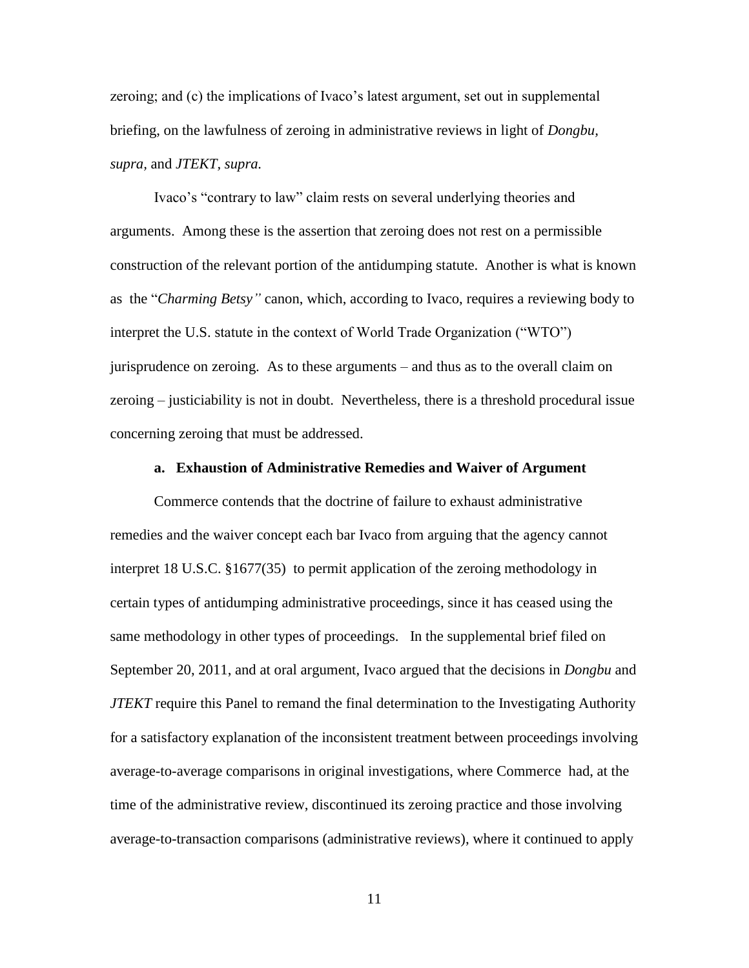zeroing; and (c) the implications of Ivaco's latest argument, set out in supplemental briefing, on the lawfulness of zeroing in administrative reviews in light of *Dongbu, supra,* and *JTEKT, supra.*

Ivaco's "contrary to law" claim rests on several underlying theories and arguments. Among these is the assertion that zeroing does not rest on a permissible construction of the relevant portion of the antidumping statute. Another is what is known as the "*Charming Betsy"* canon, which, according to Ivaco, requires a reviewing body to interpret the U.S. statute in the context of World Trade Organization ("WTO") jurisprudence on zeroing. As to these arguments – and thus as to the overall claim on zeroing – justiciability is not in doubt. Nevertheless, there is a threshold procedural issue concerning zeroing that must be addressed.

#### **a. Exhaustion of Administrative Remedies and Waiver of Argument**

Commerce contends that the doctrine of failure to exhaust administrative remedies and the waiver concept each bar Ivaco from arguing that the agency cannot interpret 18 U.S.C. §1677(35) to permit application of the zeroing methodology in certain types of antidumping administrative proceedings, since it has ceased using the same methodology in other types of proceedings. In the supplemental brief filed on September 20, 2011, and at oral argument, Ivaco argued that the decisions in *Dongbu* and *JTEKT* require this Panel to remand the final determination to the Investigating Authority for a satisfactory explanation of the inconsistent treatment between proceedings involving average-to-average comparisons in original investigations, where Commerce had, at the time of the administrative review, discontinued its zeroing practice and those involving average-to-transaction comparisons (administrative reviews), where it continued to apply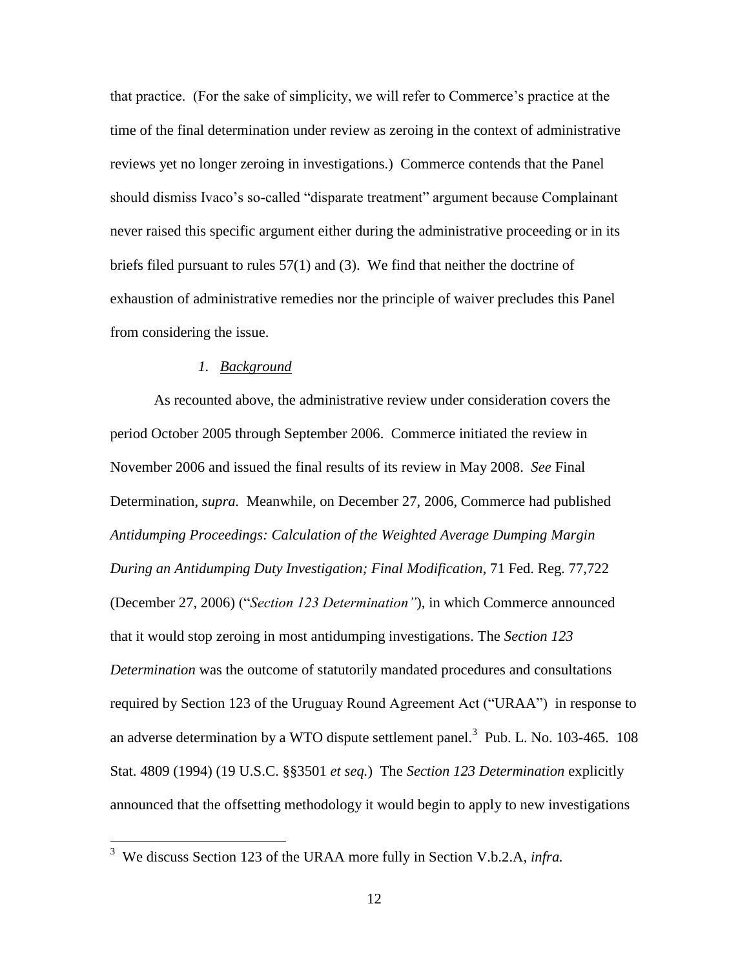that practice. (For the sake of simplicity, we will refer to Commerce's practice at the time of the final determination under review as zeroing in the context of administrative reviews yet no longer zeroing in investigations.) Commerce contends that the Panel should dismiss Ivaco's so-called "disparate treatment" argument because Complainant never raised this specific argument either during the administrative proceeding or in its briefs filed pursuant to rules 57(1) and (3). We find that neither the doctrine of exhaustion of administrative remedies nor the principle of waiver precludes this Panel from considering the issue.

### *1. Background*

As recounted above, the administrative review under consideration covers the period October 2005 through September 2006. Commerce initiated the review in November 2006 and issued the final results of its review in May 2008. *See* Final Determination, *supra.* Meanwhile, on December 27, 2006, Commerce had published *Antidumping Proceedings: Calculation of the Weighted Average Dumping Margin During an Antidumping Duty Investigation; Final Modification*, 71 Fed. Reg. 77,722 (December 27, 2006) ("*Section 123 Determination"*), in which Commerce announced that it would stop zeroing in most antidumping investigations. The *Section 123 Determination* was the outcome of statutorily mandated procedures and consultations required by Section 123 of the Uruguay Round Agreement Act ("URAA") in response to an adverse determination by a WTO dispute settlement panel.<sup>3</sup> Pub. L. No. 103-465. 108 Stat. 4809 (1994) (19 U.S.C. §§3501 *et seq.*) The *Section 123 Determination* explicitly announced that the offsetting methodology it would begin to apply to new investigations

 3 We discuss Section 123 of the URAA more fully in Section V.b.2.A, *infra.*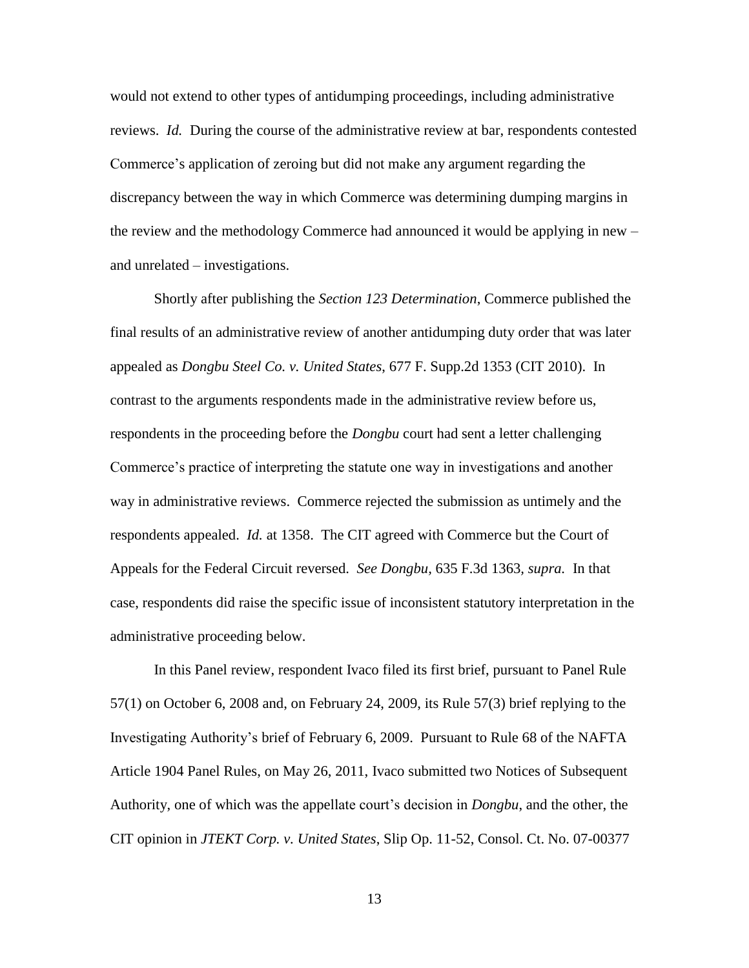would not extend to other types of antidumping proceedings, including administrative reviews. *Id.* During the course of the administrative review at bar, respondents contested Commerce's application of zeroing but did not make any argument regarding the discrepancy between the way in which Commerce was determining dumping margins in the review and the methodology Commerce had announced it would be applying in new – and unrelated – investigations.

Shortly after publishing the *Section 123 Determination*, Commerce published the final results of an administrative review of another antidumping duty order that was later appealed as *Dongbu Steel Co. v. United States*, 677 F. Supp.2d 1353 (CIT 2010). In contrast to the arguments respondents made in the administrative review before us, respondents in the proceeding before the *Dongbu* court had sent a letter challenging Commerce's practice of interpreting the statute one way in investigations and another way in administrative reviews. Commerce rejected the submission as untimely and the respondents appealed. *Id.* at 1358. The CIT agreed with Commerce but the Court of Appeals for the Federal Circuit reversed. *See Dongbu,* 635 F.3d 1363*, supra.* In that case, respondents did raise the specific issue of inconsistent statutory interpretation in the administrative proceeding below.

In this Panel review, respondent Ivaco filed its first brief, pursuant to Panel Rule 57(1) on October 6, 2008 and, on February 24, 2009, its Rule 57(3) brief replying to the Investigating Authority's brief of February 6, 2009. Pursuant to Rule 68 of the NAFTA Article 1904 Panel Rules, on May 26, 2011, Ivaco submitted two Notices of Subsequent Authority, one of which was the appellate court's decision in *Dongbu*, and the other, the CIT opinion in *JTEKT Corp. v. United States*, Slip Op. 11-52, Consol. Ct. No. 07-00377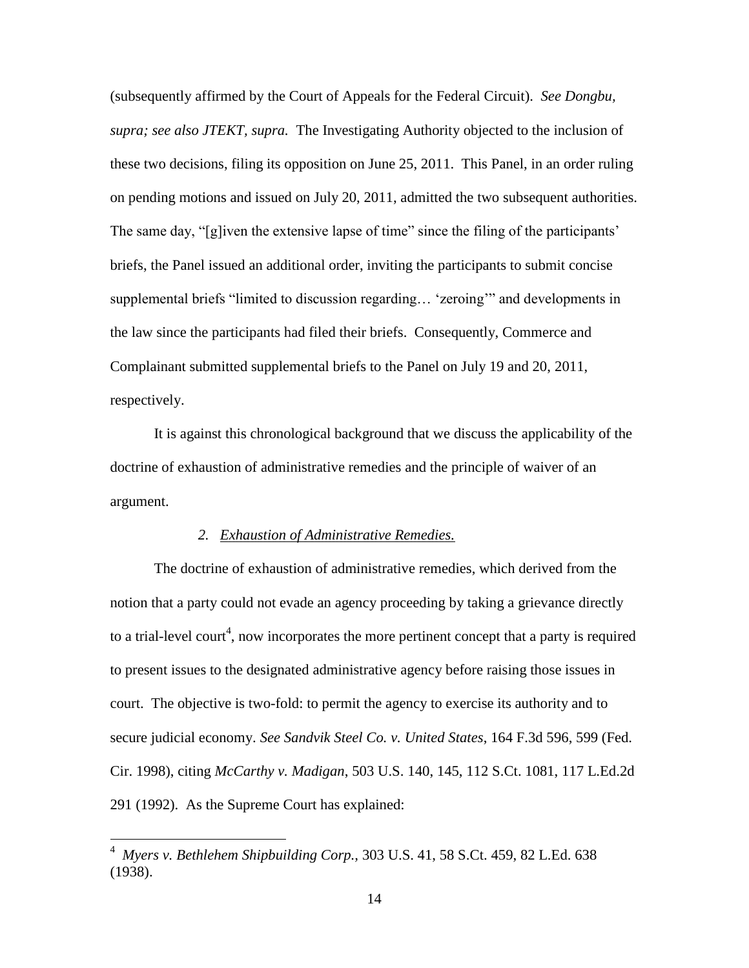(subsequently affirmed by the Court of Appeals for the Federal Circuit). *See Dongbu, supra; see also JTEKT, supra.* The Investigating Authority objected to the inclusion of these two decisions, filing its opposition on June 25, 2011. This Panel, in an order ruling on pending motions and issued on July 20, 2011, admitted the two subsequent authorities. The same day, "[g]iven the extensive lapse of time" since the filing of the participants' briefs, the Panel issued an additional order, inviting the participants to submit concise supplemental briefs "limited to discussion regarding… 'zeroing'" and developments in the law since the participants had filed their briefs. Consequently, Commerce and Complainant submitted supplemental briefs to the Panel on July 19 and 20, 2011, respectively.

It is against this chronological background that we discuss the applicability of the doctrine of exhaustion of administrative remedies and the principle of waiver of an argument.

### *2. Exhaustion of Administrative Remedies.*

The doctrine of exhaustion of administrative remedies, which derived from the notion that a party could not evade an agency proceeding by taking a grievance directly to a trial-level court<sup>4</sup>, now incorporates the more pertinent concept that a party is required to present issues to the designated administrative agency before raising those issues in court. The objective is two-fold: to permit the agency to exercise its authority and to secure judicial economy. *See Sandvik Steel Co. v. United States*, 164 F.3d 596, 599 (Fed. Cir. 1998), citing *McCarthy v. Madigan*, 503 U.S. 140, 145, 112 S.Ct. 1081, 117 L.Ed.2d 291 (1992). As the Supreme Court has explained:

<sup>4</sup> *Myers v. Bethlehem Shipbuilding Corp.,* 303 U.S. 41, 58 S.Ct. 459, 82 L.Ed. 638 (1938).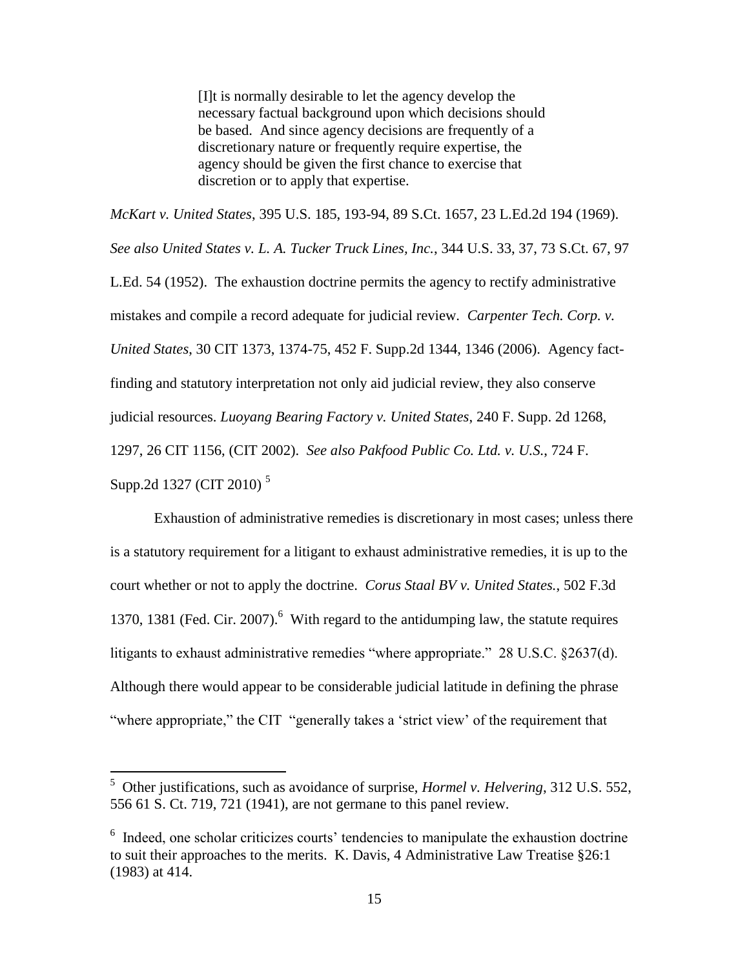[I]t is normally desirable to let the agency develop the necessary factual background upon which decisions should be based. And since agency decisions are frequently of a discretionary nature or frequently require expertise, the agency should be given the first chance to exercise that discretion or to apply that expertise.

*McKart v. United States*, 395 U.S. 185, 193-94, 89 S.Ct. 1657, 23 L.Ed.2d 194 (1969). *See also United States v. L. A. Tucker Truck Lines, Inc.*, 344 U.S. 33, 37, 73 S.Ct. 67, 97 L.Ed. 54 (1952). The exhaustion doctrine permits the agency to rectify administrative mistakes and compile a record adequate for judicial review. *Carpenter Tech. Corp. v. United States*, 30 CIT 1373, 1374-75, 452 F. Supp.2d 1344, 1346 (2006). Agency factfinding and statutory interpretation not only aid judicial review, they also conserve judicial resources. *Luoyang Bearing Factory v. United States*, 240 F. Supp. 2d 1268, 1297, 26 CIT 1156, (CIT 2002). *See also Pakfood Public Co. Ltd. v. U.S.*, 724 F. Supp.2d 1327 (CIT 2010)<sup>5</sup>

Exhaustion of administrative remedies is discretionary in most cases; unless there is a statutory requirement for a litigant to exhaust administrative remedies, it is up to the court whether or not to apply the doctrine. *Corus Staal BV v. United States.*, 502 F.3d 1370, 1381 (Fed. Cir. 2007).<sup>6</sup> With regard to the antidumping law, the statute requires litigants to exhaust administrative remedies "where appropriate." 28 U.S.C. §2637(d). Although there would appear to be considerable judicial latitude in defining the phrase "where appropriate," the CIT "generally takes a 'strict view' of the requirement that

<sup>5</sup> Other justifications, such as avoidance of surprise, *Hormel v. Helvering*, 312 U.S. 552, 556 61 S. Ct. 719, 721 (1941), are not germane to this panel review.

<sup>&</sup>lt;sup>6</sup> Indeed, one scholar criticizes courts' tendencies to manipulate the exhaustion doctrine to suit their approaches to the merits. K. Davis, 4 Administrative Law Treatise §26:1 (1983) at 414.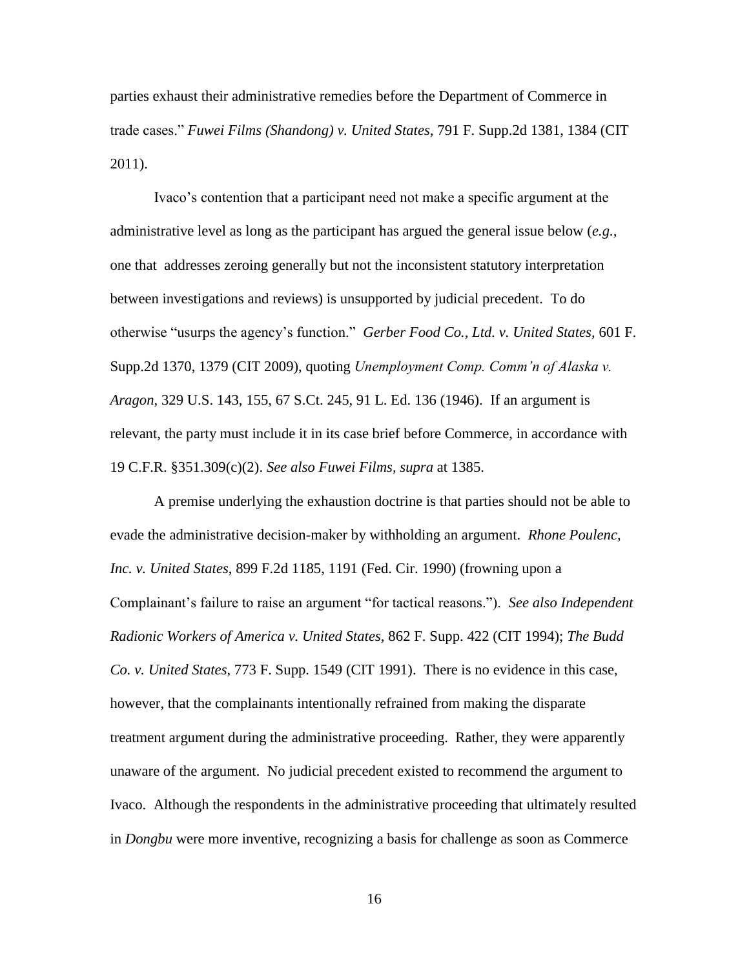parties exhaust their administrative remedies before the Department of Commerce in trade cases." *Fuwei Films (Shandong) v. United States,* 791 F. Supp.2d 1381, 1384 (CIT 2011).

Ivaco's contention that a participant need not make a specific argument at the administrative level as long as the participant has argued the general issue below (*e.g.,* one that addresses zeroing generally but not the inconsistent statutory interpretation between investigations and reviews) is unsupported by judicial precedent. To do otherwise "usurps the agency's function." *Gerber Food Co., Ltd. v. United States,* 601 F. Supp.2d 1370, 1379 (CIT 2009), quoting *Unemployment Comp. Comm'n of Alaska v. Aragon,* 329 U.S. 143, 155, 67 S.Ct. 245, 91 L. Ed. 136 (1946). If an argument is relevant, the party must include it in its case brief before Commerce, in accordance with 19 C.F.R. §351.309(c)(2). *See also Fuwei Films, supra* at 1385.

A premise underlying the exhaustion doctrine is that parties should not be able to evade the administrative decision-maker by withholding an argument. *Rhone Poulenc, Inc. v. United States*, 899 F.2d 1185, 1191 (Fed. Cir. 1990) (frowning upon a Complainant's failure to raise an argument "for tactical reasons."). *See also Independent Radionic Workers of America v. United States,* 862 F. Supp. 422 (CIT 1994); *The Budd Co. v. United States*, 773 F. Supp. 1549 (CIT 1991).There is no evidence in this case, however, that the complainants intentionally refrained from making the disparate treatment argument during the administrative proceeding. Rather, they were apparently unaware of the argument. No judicial precedent existed to recommend the argument to Ivaco. Although the respondents in the administrative proceeding that ultimately resulted in *Dongbu* were more inventive, recognizing a basis for challenge as soon as Commerce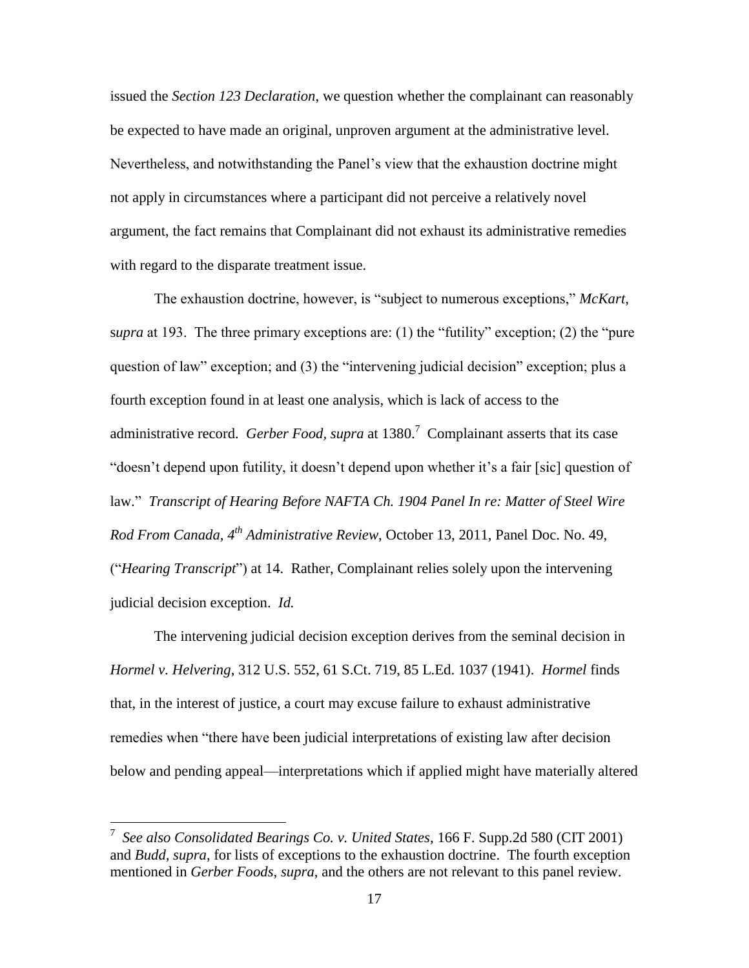issued the *Section 123 Declaration*, we question whether the complainant can reasonably be expected to have made an original, unproven argument at the administrative level. Nevertheless, and notwithstanding the Panel's view that the exhaustion doctrine might not apply in circumstances where a participant did not perceive a relatively novel argument, the fact remains that Complainant did not exhaust its administrative remedies with regard to the disparate treatment issue.

The exhaustion doctrine, however, is "subject to numerous exceptions," *McKart,*  s*upra* at 193. The three primary exceptions are: (1) the "futility" exception; (2) the "pure question of law" exception; and (3) the "intervening judicial decision" exception; plus a fourth exception found in at least one analysis, which is lack of access to the administrative record. *Gerber Food, supra* at 1380.<sup>7</sup> Complainant asserts that its case "doesn't depend upon futility, it doesn't depend upon whether it's a fair [sic] question of law." *Transcript of Hearing Before NAFTA Ch. 1904 Panel In re: Matter of Steel Wire Rod From Canada, 4th Administrative Review*, October 13, 2011, Panel Doc. No. 49, ("*Hearing Transcript*") at 14. Rather, Complainant relies solely upon the intervening judicial decision exception. *Id.*

The intervening judicial decision exception derives from the seminal decision in *Hormel v. Helvering*, 312 U.S. 552, 61 S.Ct. 719, 85 L.Ed. 1037 (1941). *Hormel* finds that, in the interest of justice, a court may excuse failure to exhaust administrative remedies when "there have been judicial interpretations of existing law after decision below and pending appeal—interpretations which if applied might have materially altered

<sup>7</sup> *See also Consolidated Bearings Co. v. United States,* 166 F. Supp.2d 580 (CIT 2001) and *Budd, supra*, for lists of exceptions to the exhaustion doctrine. The fourth exception mentioned in *Gerber Foods*, *supra*, and the others are not relevant to this panel review.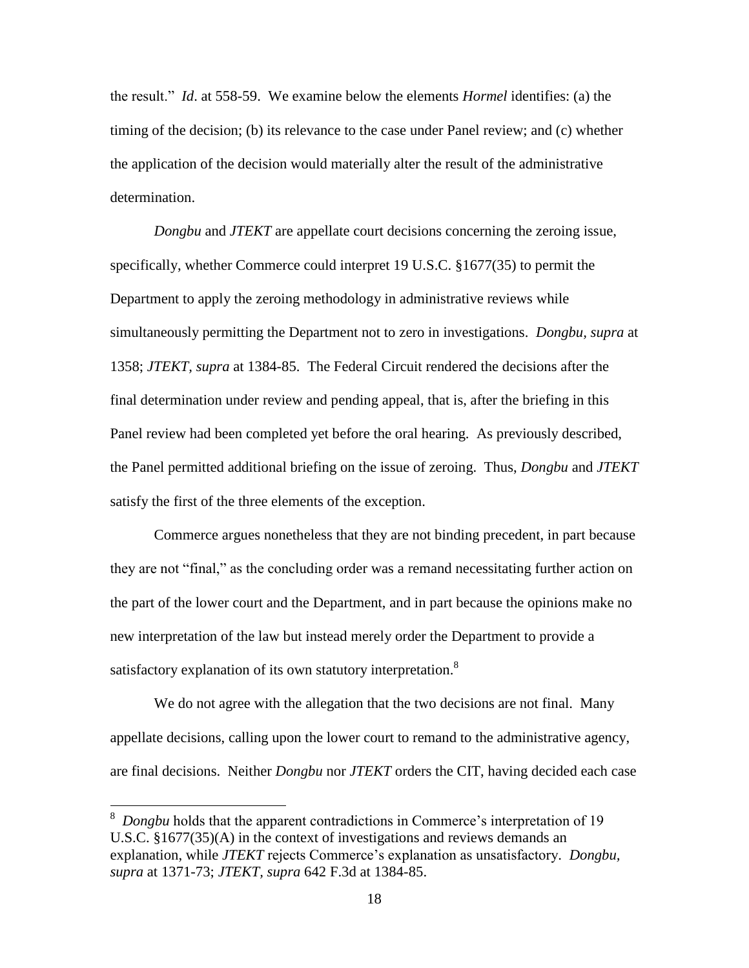the result." *Id*. at 558-59. We examine below the elements *Hormel* identifies: (a) the timing of the decision; (b) its relevance to the case under Panel review; and (c) whether the application of the decision would materially alter the result of the administrative determination.

*Dongbu* and *JTEKT* are appellate court decisions concerning the zeroing issue, specifically, whether Commerce could interpret 19 U.S.C. §1677(35) to permit the Department to apply the zeroing methodology in administrative reviews while simultaneously permitting the Department not to zero in investigations. *Dongbu, supra* at 1358; *JTEKT, supra* at 1384-85. The Federal Circuit rendered the decisions after the final determination under review and pending appeal, that is, after the briefing in this Panel review had been completed yet before the oral hearing. As previously described, the Panel permitted additional briefing on the issue of zeroing. Thus, *Dongbu* and *JTEKT* satisfy the first of the three elements of the exception.

Commerce argues nonetheless that they are not binding precedent, in part because they are not "final," as the concluding order was a remand necessitating further action on the part of the lower court and the Department, and in part because the opinions make no new interpretation of the law but instead merely order the Department to provide a satisfactory explanation of its own statutory interpretation.<sup>8</sup>

We do not agree with the allegation that the two decisions are not final. Many appellate decisions, calling upon the lower court to remand to the administrative agency, are final decisions. Neither *Dongbu* nor *JTEKT* orders the CIT, having decided each case

<sup>8</sup> *Dongbu* holds that the apparent contradictions in Commerce's interpretation of 19 U.S.C. §1677(35)(A) in the context of investigations and reviews demands an explanation, while *JTEKT* rejects Commerce's explanation as unsatisfactory. *Dongbu, supra* at 1371-73; *JTEKT, supra* 642 F.3d at 1384-85.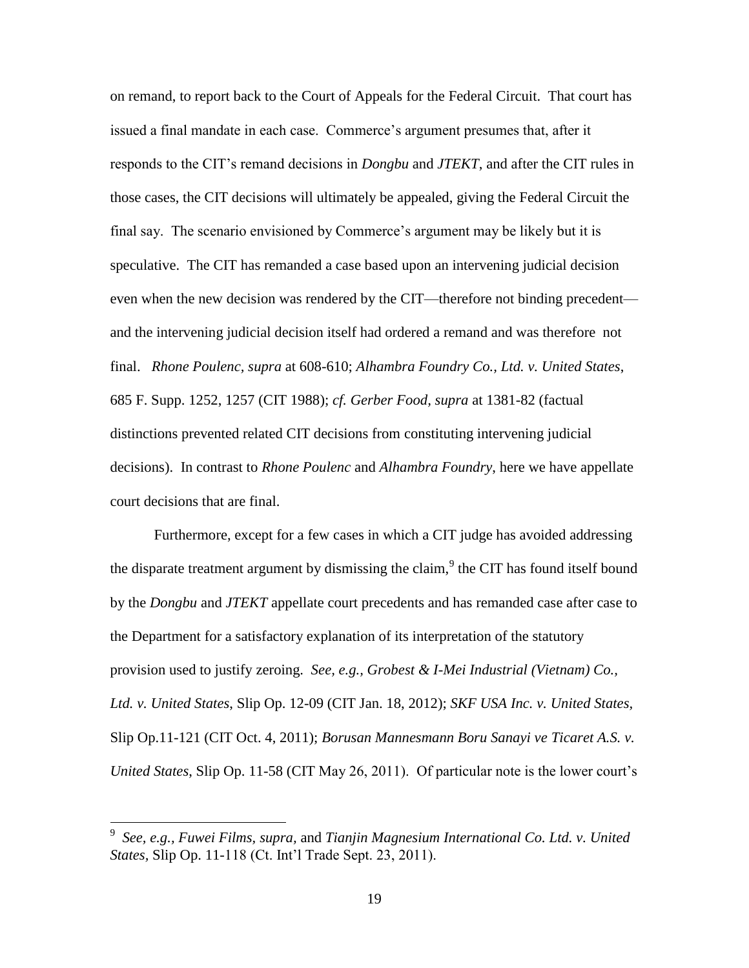on remand, to report back to the Court of Appeals for the Federal Circuit. That court has issued a final mandate in each case. Commerce's argument presumes that, after it responds to the CIT's remand decisions in *Dongbu* and *JTEKT*, and after the CIT rules in those cases, the CIT decisions will ultimately be appealed, giving the Federal Circuit the final say. The scenario envisioned by Commerce's argument may be likely but it is speculative. The CIT has remanded a case based upon an intervening judicial decision even when the new decision was rendered by the CIT—therefore not binding precedent and the intervening judicial decision itself had ordered a remand and was therefore not final. *Rhone Poulenc, supra* at 608-610; *Alhambra Foundry Co., Ltd. v. United States*, 685 F. Supp. 1252, 1257 (CIT 1988); *cf. Gerber Food, supra* at 1381-82 (factual distinctions prevented related CIT decisions from constituting intervening judicial decisions). In contrast to *Rhone Poulenc* and *Alhambra Foundry*, here we have appellate court decisions that are final.

Furthermore, except for a few cases in which a CIT judge has avoided addressing the disparate treatment argument by dismissing the claim,<sup>9</sup> the CIT has found itself bound by the *Dongbu* and *JTEKT* appellate court precedents and has remanded case after case to the Department for a satisfactory explanation of its interpretation of the statutory provision used to justify zeroing. *See, e.g., Grobest & I-Mei Industrial (Vietnam) Co., Ltd. v. United States*, Slip Op. 12-09 (CIT Jan. 18, 2012); *SKF USA Inc. v. United States,*  Slip Op.11-121 (CIT Oct. 4, 2011); *Borusan Mannesmann Boru Sanayi ve Ticaret A.S. v. United States*, Slip Op. 11-58 (CIT May 26, 2011). Of particular note is the lower court's

<sup>9</sup> *See, e.g., Fuwei Films, supra,* and *Tianjin Magnesium International Co. Ltd. v. United States,* Slip Op. 11-118 (Ct. Int'l Trade Sept. 23, 2011).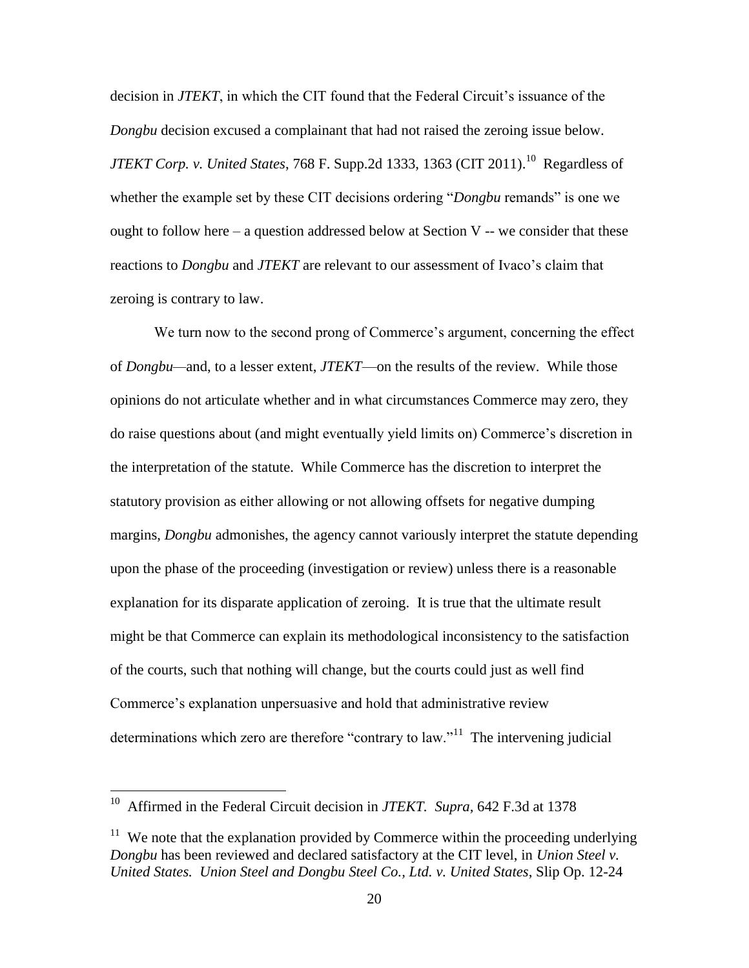decision in *JTEKT*, in which the CIT found that the Federal Circuit's issuance of the *Dongbu* decision excused a complainant that had not raised the zeroing issue below. *JTEKT Corp. v. United States*, 768 F. Supp.2d 1333, 1363 (CIT 2011). 10 Regardless of whether the example set by these CIT decisions ordering "*Dongbu* remands" is one we ought to follow here – a question addressed below at Section V -- we consider that these reactions to *Dongbu* and *JTEKT* are relevant to our assessment of Ivaco's claim that zeroing is contrary to law.

We turn now to the second prong of Commerce's argument, concerning the effect of *Dongbu—*and, to a lesser extent, *JTEKT*—on the results of the review. While those opinions do not articulate whether and in what circumstances Commerce may zero, they do raise questions about (and might eventually yield limits on) Commerce's discretion in the interpretation of the statute. While Commerce has the discretion to interpret the statutory provision as either allowing or not allowing offsets for negative dumping margins, *Dongbu* admonishes, the agency cannot variously interpret the statute depending upon the phase of the proceeding (investigation or review) unless there is a reasonable explanation for its disparate application of zeroing. It is true that the ultimate result might be that Commerce can explain its methodological inconsistency to the satisfaction of the courts, such that nothing will change, but the courts could just as well find Commerce's explanation unpersuasive and hold that administrative review determinations which zero are therefore "contrary to law."<sup>11</sup> The intervening judicial

<sup>&</sup>lt;sup>10</sup> Affirmed in the Federal Circuit decision in *JTEKT*. Supra, 642 F.3d at 1378

 $11$  We note that the explanation provided by Commerce within the proceeding underlying *Dongbu* has been reviewed and declared satisfactory at the CIT level, in *Union Steel v. United States. Union Steel and Dongbu Steel Co., Ltd. v. United States*, Slip Op. 12-24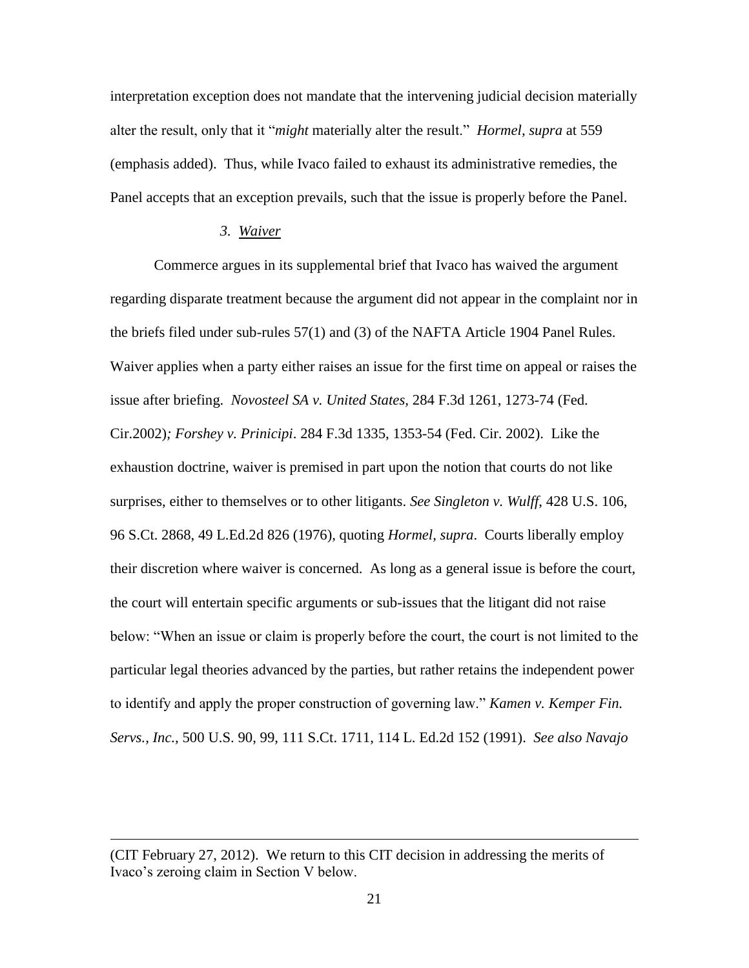interpretation exception does not mandate that the intervening judicial decision materially alter the result, only that it "*might* materially alter the result." *Hormel, supra* at 559 (emphasis added). Thus, while Ivaco failed to exhaust its administrative remedies, the Panel accepts that an exception prevails, such that the issue is properly before the Panel.

## *3. Waiver*

Commerce argues in its supplemental brief that Ivaco has waived the argument regarding disparate treatment because the argument did not appear in the complaint nor in the briefs filed under sub-rules 57(1) and (3) of the NAFTA Article 1904 Panel Rules. Waiver applies when a party either raises an issue for the first time on appeal or raises the issue after briefing. *Novosteel SA v. United States,* 284 F.3d 1261, 1273-74 (Fed. Cir.2002)*; Forshey v. Prinicipi*. 284 F.3d 1335, 1353-54 (Fed. Cir. 2002). Like the exhaustion doctrine, waiver is premised in part upon the notion that courts do not like surprises, either to themselves or to other litigants. *See Singleton v. Wulff*, 428 U.S. 106, 96 S.Ct. 2868, 49 L.Ed.2d 826 (1976), quoting *Hormel, supra*. Courts liberally employ their discretion where waiver is concerned. As long as a general issue is before the court, the court will entertain specific arguments or sub-issues that the litigant did not raise below: "When an issue or claim is properly before the court, the court is not limited to the particular legal theories advanced by the parties, but rather retains the independent power to identify and apply the proper construction of governing law." *Kamen v. Kemper Fin. Servs., Inc.,* 500 U.S. 90, 99, 111 S.Ct. 1711, 114 L. Ed.2d 152 (1991). *See also Navajo* 

<sup>(</sup>CIT February 27, 2012). We return to this CIT decision in addressing the merits of Ivaco's zeroing claim in Section V below.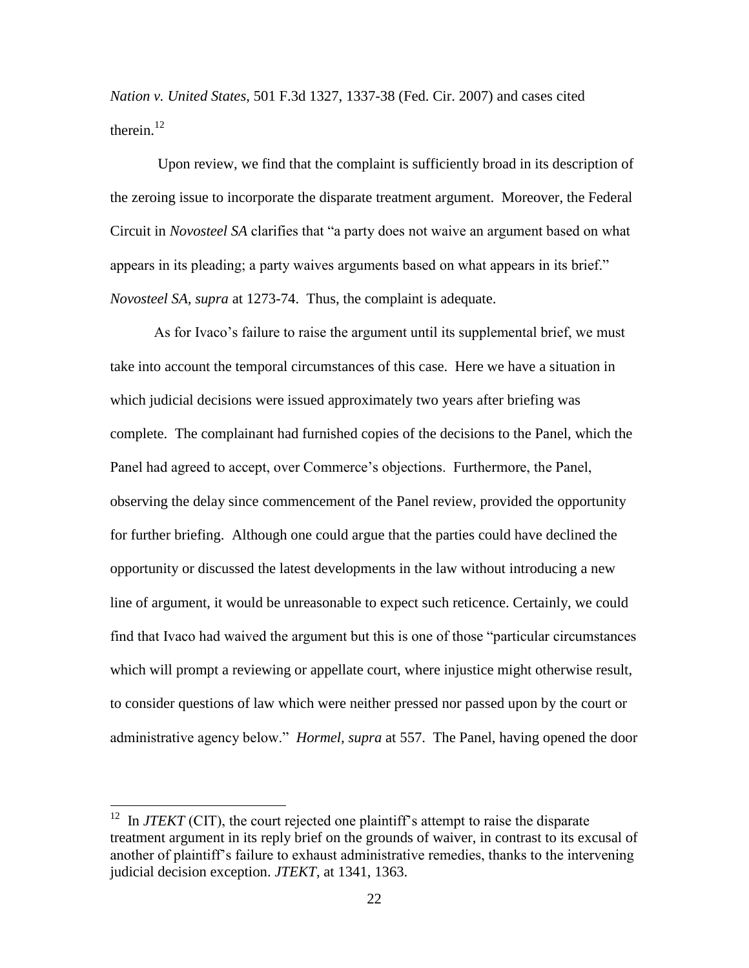*Nation v. United States*, 501 F.3d 1327, 1337-38 (Fed. Cir. 2007) and cases cited therein. $^{12}$ 

Upon review, we find that the complaint is sufficiently broad in its description of the zeroing issue to incorporate the disparate treatment argument. Moreover, the Federal Circuit in *Novosteel SA* clarifies that "a party does not waive an argument based on what appears in its pleading; a party waives arguments based on what appears in its brief." *Novosteel SA, supra* at 1273-74. Thus, the complaint is adequate.

As for Ivaco's failure to raise the argument until its supplemental brief, we must take into account the temporal circumstances of this case. Here we have a situation in which judicial decisions were issued approximately two years after briefing was complete. The complainant had furnished copies of the decisions to the Panel, which the Panel had agreed to accept, over Commerce's objections. Furthermore, the Panel, observing the delay since commencement of the Panel review, provided the opportunity for further briefing. Although one could argue that the parties could have declined the opportunity or discussed the latest developments in the law without introducing a new line of argument, it would be unreasonable to expect such reticence. Certainly, we could find that Ivaco had waived the argument but this is one of those "particular circumstances which will prompt a reviewing or appellate court, where injustice might otherwise result, to consider questions of law which were neither pressed nor passed upon by the court or administrative agency below." *Hormel, supra* at 557. The Panel, having opened the door

 $12$  In *JTEKT* (CIT), the court rejected one plaintiff's attempt to raise the disparate treatment argument in its reply brief on the grounds of waiver, in contrast to its excusal of another of plaintiff's failure to exhaust administrative remedies, thanks to the intervening judicial decision exception. *JTEKT*, at 1341, 1363.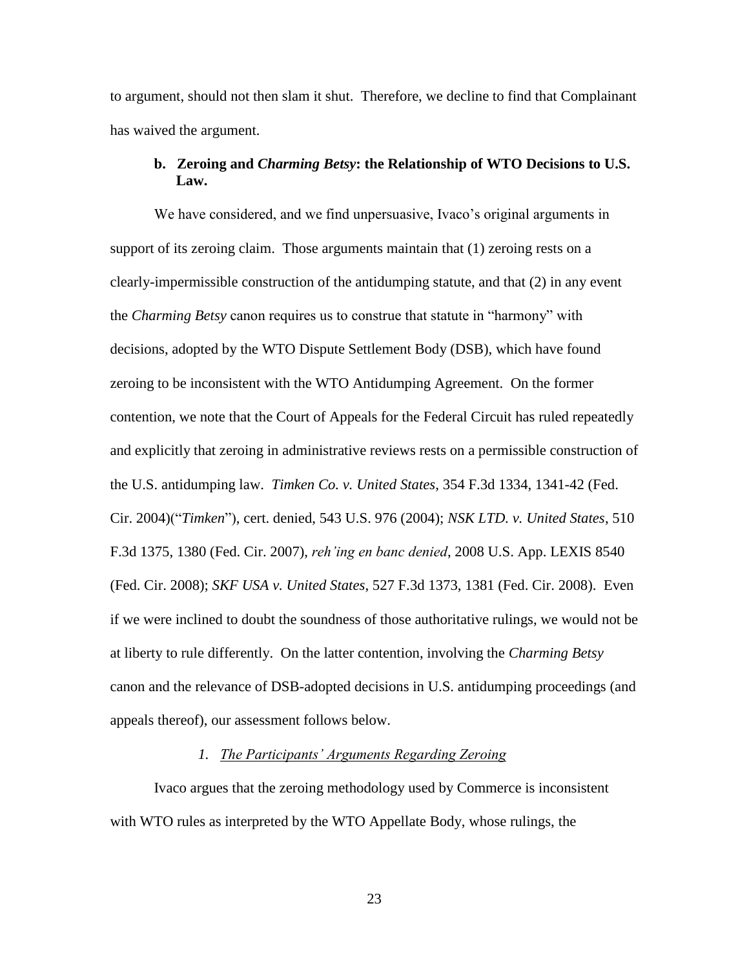to argument, should not then slam it shut. Therefore, we decline to find that Complainant has waived the argument.

## **b. Zeroing and** *Charming Betsy***: the Relationship of WTO Decisions to U.S. Law.**

We have considered, and we find unpersuasive, Ivaco's original arguments in support of its zeroing claim. Those arguments maintain that (1) zeroing rests on a clearly-impermissible construction of the antidumping statute, and that (2) in any event the *Charming Betsy* canon requires us to construe that statute in "harmony" with decisions, adopted by the WTO Dispute Settlement Body (DSB), which have found zeroing to be inconsistent with the WTO Antidumping Agreement. On the former contention, we note that the Court of Appeals for the Federal Circuit has ruled repeatedly and explicitly that zeroing in administrative reviews rests on a permissible construction of the U.S. antidumping law. *Timken Co. v. United States*, 354 F.3d 1334, 1341-42 (Fed. Cir. 2004)("*Timken*"), cert. denied, 543 U.S. 976 (2004); *NSK LTD. v. United States*, 510 F.3d 1375, 1380 (Fed. Cir. 2007), *reh'ing en banc denied*, 2008 U.S. App. LEXIS 8540 (Fed. Cir. 2008); *SKF USA v. United States*, 527 F.3d 1373, 1381 (Fed. Cir. 2008).Even if we were inclined to doubt the soundness of those authoritative rulings, we would not be at liberty to rule differently. On the latter contention, involving the *Charming Betsy* canon and the relevance of DSB-adopted decisions in U.S. antidumping proceedings (and appeals thereof), our assessment follows below.

## *1. The Participants' Arguments Regarding Zeroing*

Ivaco argues that the zeroing methodology used by Commerce is inconsistent with WTO rules as interpreted by the WTO Appellate Body, whose rulings, the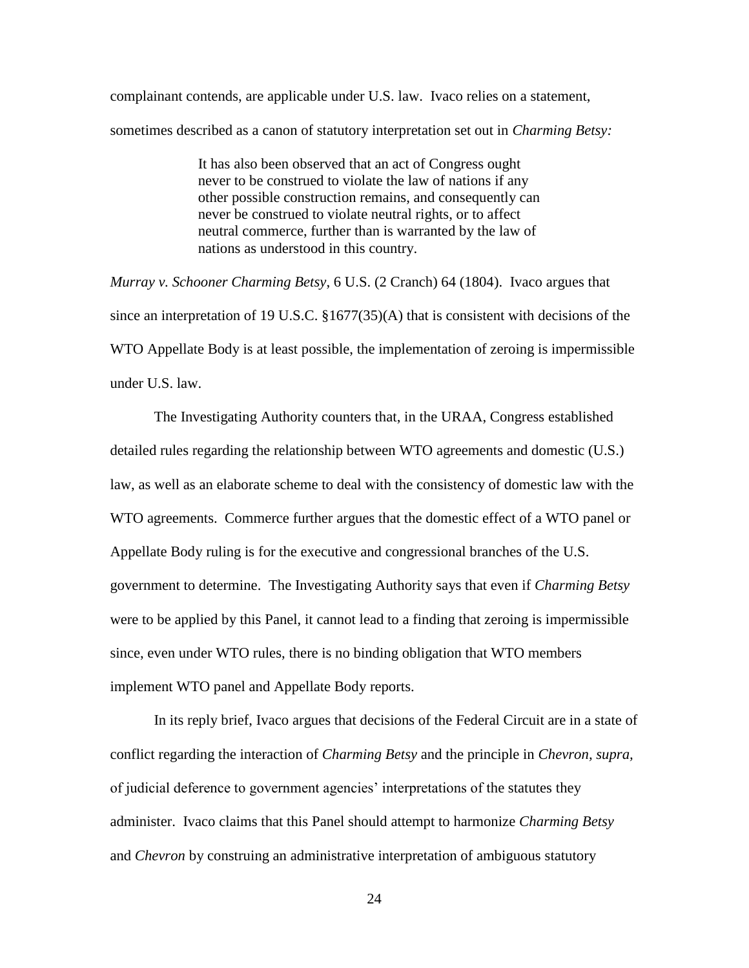complainant contends, are applicable under U.S. law. Ivaco relies on a statement, sometimes described as a canon of statutory interpretation set out in *Charming Betsy:*

> It has also been observed that an act of Congress ought never to be construed to violate the law of nations if any other possible construction remains, and consequently can never be construed to violate neutral rights, or to affect neutral commerce, further than is warranted by the law of nations as understood in this country.

*Murray v. Schooner Charming Betsy*, 6 U.S. (2 Cranch) 64 (1804). Ivaco argues that since an interpretation of 19 U.S.C. §1677(35)(A) that is consistent with decisions of the WTO Appellate Body is at least possible, the implementation of zeroing is impermissible under U.S. law.

The Investigating Authority counters that, in the URAA, Congress established detailed rules regarding the relationship between WTO agreements and domestic (U.S.) law, as well as an elaborate scheme to deal with the consistency of domestic law with the WTO agreements. Commerce further argues that the domestic effect of a WTO panel or Appellate Body ruling is for the executive and congressional branches of the U.S. government to determine. The Investigating Authority says that even if *Charming Betsy* were to be applied by this Panel, it cannot lead to a finding that zeroing is impermissible since, even under WTO rules, there is no binding obligation that WTO members implement WTO panel and Appellate Body reports.

In its reply brief, Ivaco argues that decisions of the Federal Circuit are in a state of conflict regarding the interaction of *Charming Betsy* and the principle in *Chevron, supra,* of judicial deference to government agencies' interpretations of the statutes they administer. Ivaco claims that this Panel should attempt to harmonize *Charming Betsy*  and *Chevron* by construing an administrative interpretation of ambiguous statutory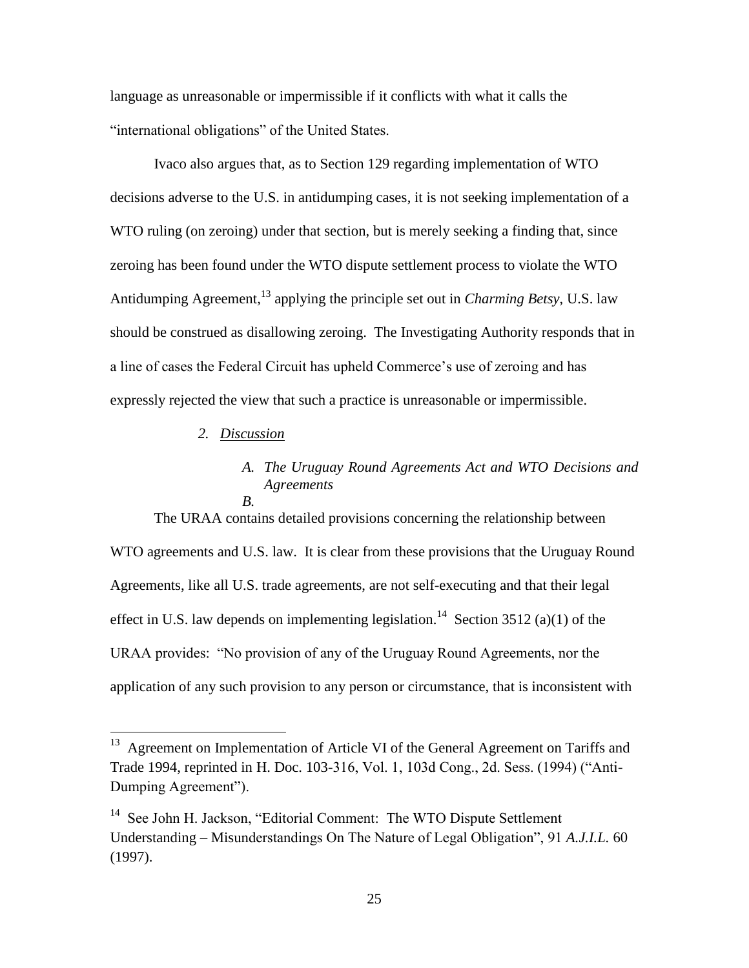language as unreasonable or impermissible if it conflicts with what it calls the "international obligations" of the United States.

Ivaco also argues that, as to Section 129 regarding implementation of WTO decisions adverse to the U.S. in antidumping cases, it is not seeking implementation of a WTO ruling (on zeroing) under that section, but is merely seeking a finding that, since zeroing has been found under the WTO dispute settlement process to violate the WTO Antidumping Agreement,<sup>13</sup> applying the principle set out in *Charming Betsy*, U.S. law should be construed as disallowing zeroing. The Investigating Authority responds that in a line of cases the Federal Circuit has upheld Commerce's use of zeroing and has expressly rejected the view that such a practice is unreasonable or impermissible.

*2. Discussion*

 $\overline{a}$ 

## *A. The Uruguay Round Agreements Act and WTO Decisions and Agreements B.*

The URAA contains detailed provisions concerning the relationship between WTO agreements and U.S. law. It is clear from these provisions that the Uruguay Round Agreements, like all U.S. trade agreements, are not self-executing and that their legal effect in U.S. law depends on implementing legislation.<sup>14</sup> Section 3512 (a)(1) of the URAA provides: "No provision of any of the Uruguay Round Agreements, nor the application of any such provision to any person or circumstance, that is inconsistent with

<sup>&</sup>lt;sup>13</sup> Agreement on Implementation of Article VI of the General Agreement on Tariffs and Trade 1994, reprinted in H. Doc. 103-316, Vol. 1, 103d Cong., 2d. Sess. (1994) ("Anti-Dumping Agreement").

<sup>&</sup>lt;sup>14</sup> See John H. Jackson, "Editorial Comment: The WTO Dispute Settlement Understanding – Misunderstandings On The Nature of Legal Obligation", 91 *A.J.I.L.* 60 (1997).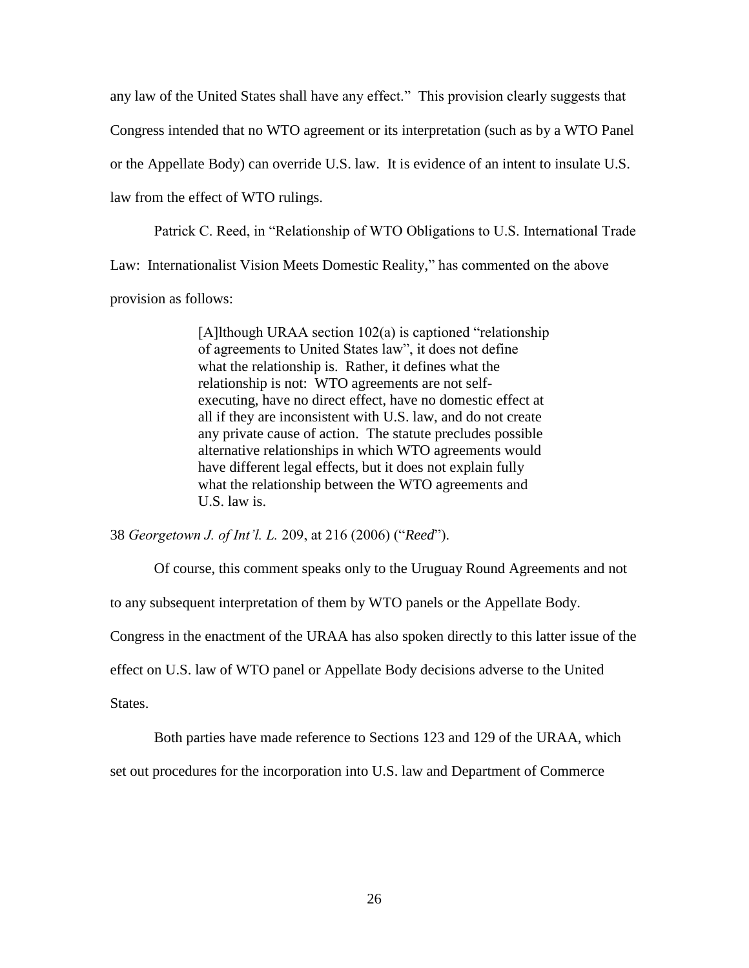any law of the United States shall have any effect." This provision clearly suggests that Congress intended that no WTO agreement or its interpretation (such as by a WTO Panel or the Appellate Body) can override U.S. law. It is evidence of an intent to insulate U.S. law from the effect of WTO rulings.

Patrick C. Reed, in "Relationship of WTO Obligations to U.S. International Trade Law: Internationalist Vision Meets Domestic Reality," has commented on the above provision as follows:

> [A]lthough URAA section 102(a) is captioned "relationship of agreements to United States law", it does not define what the relationship is. Rather, it defines what the relationship is not: WTO agreements are not selfexecuting, have no direct effect, have no domestic effect at all if they are inconsistent with U.S. law, and do not create any private cause of action. The statute precludes possible alternative relationships in which WTO agreements would have different legal effects, but it does not explain fully what the relationship between the WTO agreements and U.S. law is.

38 *Georgetown J. of Int'l. L.* 209, at 216 (2006) ("*Reed*").

Of course, this comment speaks only to the Uruguay Round Agreements and not to any subsequent interpretation of them by WTO panels or the Appellate Body. Congress in the enactment of the URAA has also spoken directly to this latter issue of the effect on U.S. law of WTO panel or Appellate Body decisions adverse to the United

States.

Both parties have made reference to Sections 123 and 129 of the URAA, which

set out procedures for the incorporation into U.S. law and Department of Commerce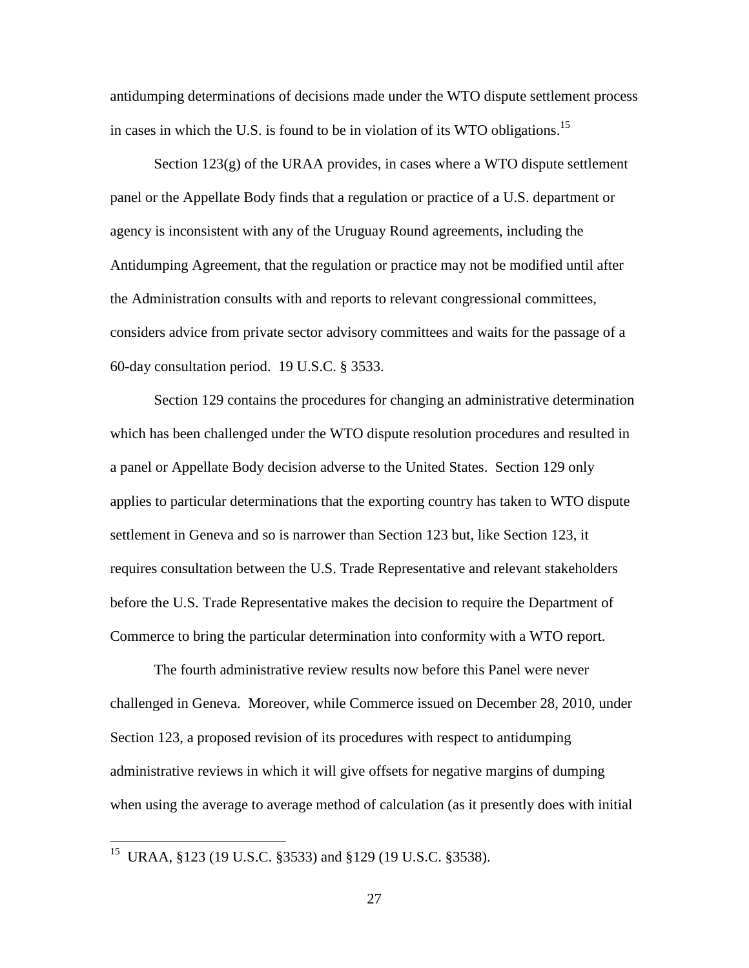antidumping determinations of decisions made under the WTO dispute settlement process in cases in which the U.S. is found to be in violation of its WTO obligations.<sup>15</sup>

Section  $123(g)$  of the URAA provides, in cases where a WTO dispute settlement panel or the Appellate Body finds that a regulation or practice of a U.S. department or agency is inconsistent with any of the Uruguay Round agreements, including the Antidumping Agreement, that the regulation or practice may not be modified until after the Administration consults with and reports to relevant congressional committees, considers advice from private sector advisory committees and waits for the passage of a 60-day consultation period. 19 U.S.C. § 3533.

Section 129 contains the procedures for changing an administrative determination which has been challenged under the WTO dispute resolution procedures and resulted in a panel or Appellate Body decision adverse to the United States. Section 129 only applies to particular determinations that the exporting country has taken to WTO dispute settlement in Geneva and so is narrower than Section 123 but, like Section 123, it requires consultation between the U.S. Trade Representative and relevant stakeholders before the U.S. Trade Representative makes the decision to require the Department of Commerce to bring the particular determination into conformity with a WTO report.

The fourth administrative review results now before this Panel were never challenged in Geneva. Moreover, while Commerce issued on December 28, 2010, under Section 123, a proposed revision of its procedures with respect to antidumping administrative reviews in which it will give offsets for negative margins of dumping when using the average to average method of calculation (as it presently does with initial

<sup>15</sup> URAA, §123 (19 U.S.C. §3533) and §129 (19 U.S.C. §3538).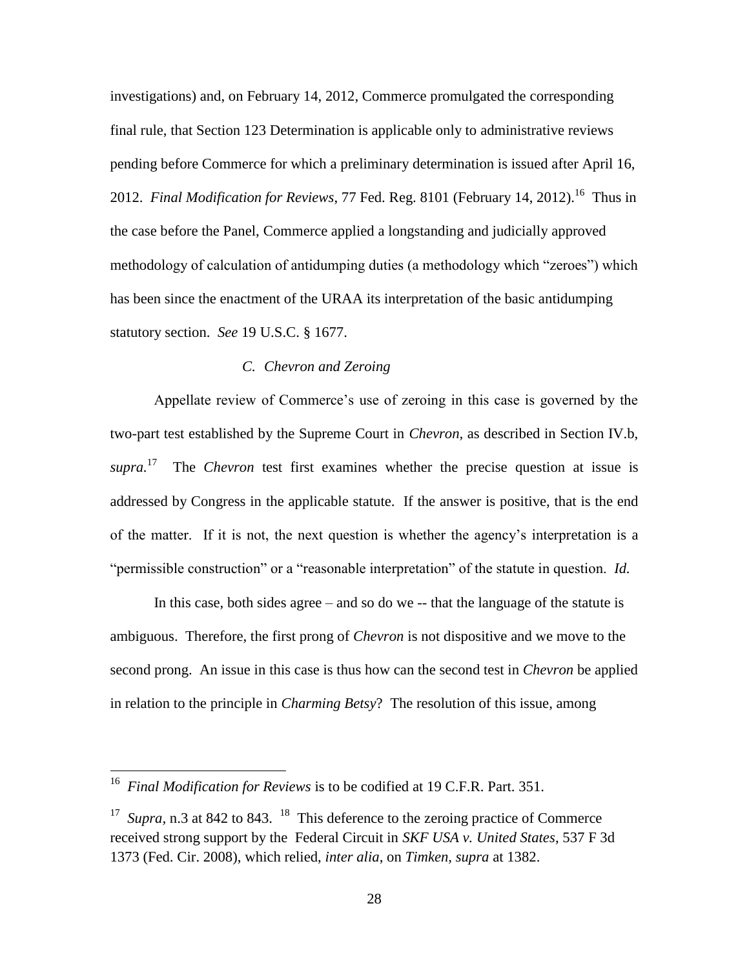investigations) and, on February 14, 2012, Commerce promulgated the corresponding final rule, that Section 123 Determination is applicable only to administrative reviews pending before Commerce for which a preliminary determination is issued after April 16, 2012. *Final Modification for Reviews*, 77 Fed. Reg. 8101 (February 14, 2012).<sup>16</sup> Thus in the case before the Panel, Commerce applied a longstanding and judicially approved methodology of calculation of antidumping duties (a methodology which "zeroes") which has been since the enactment of the URAA its interpretation of the basic antidumping statutory section. *See* 19 U.S.C. § 1677.

## *C. Chevron and Zeroing*

Appellate review of Commerce's use of zeroing in this case is governed by the two-part test established by the Supreme Court in *Chevron,* as described in Section IV.b, *supra*.<sup>17</sup> The *Chevron* test first examines whether the precise question at issue is addressed by Congress in the applicable statute. If the answer is positive, that is the end of the matter. If it is not, the next question is whether the agency's interpretation is a "permissible construction" or a "reasonable interpretation" of the statute in question. *Id.*

In this case, both sides agree – and so do we -- that the language of the statute is ambiguous. Therefore, the first prong of *Chevron* is not dispositive and we move to the second prong. An issue in this case is thus how can the second test in *Chevron* be applied in relation to the principle in *Charming Betsy*? The resolution of this issue, among

<sup>16</sup> *Final Modification for Reviews* is to be codified at 19 C.F.R. Part. 351.

<sup>&</sup>lt;sup>17</sup> *Supra*, n.3 at 842 to 843. <sup>18</sup> This deference to the zeroing practice of Commerce received strong support by the Federal Circuit in *SKF USA v. United States*, 537 F 3d 1373 (Fed. Cir. 2008), which relied, *inter alia*, on *Timken, supra* at 1382.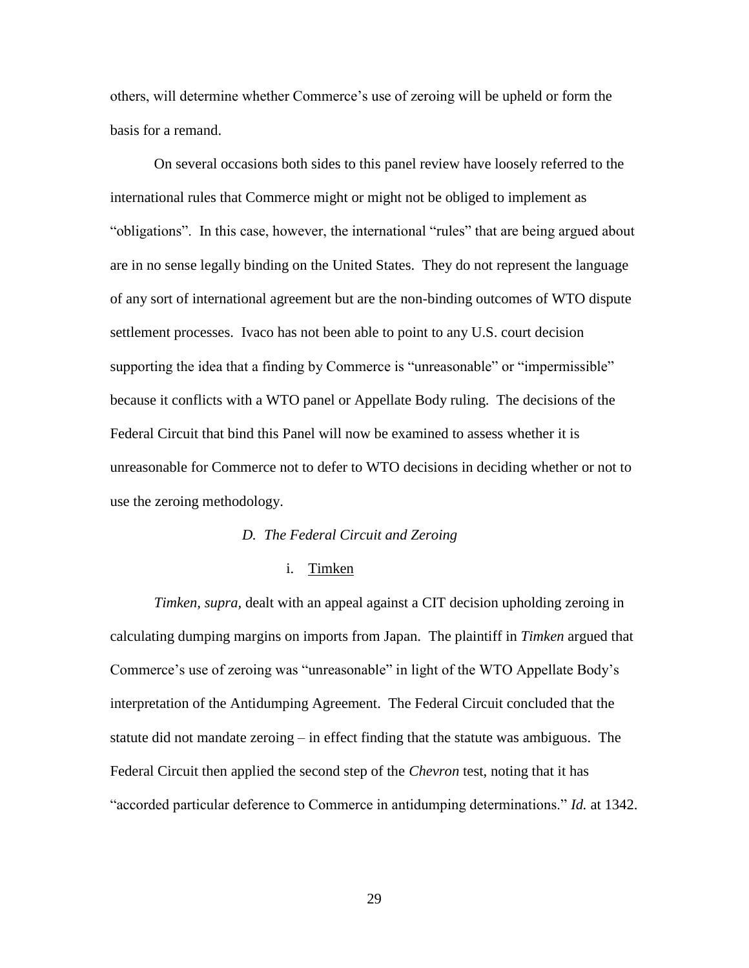others, will determine whether Commerce's use of zeroing will be upheld or form the basis for a remand.

On several occasions both sides to this panel review have loosely referred to the international rules that Commerce might or might not be obliged to implement as "obligations". In this case, however, the international "rules" that are being argued about are in no sense legally binding on the United States. They do not represent the language of any sort of international agreement but are the non-binding outcomes of WTO dispute settlement processes. Ivaco has not been able to point to any U.S. court decision supporting the idea that a finding by Commerce is "unreasonable" or "impermissible" because it conflicts with a WTO panel or Appellate Body ruling. The decisions of the Federal Circuit that bind this Panel will now be examined to assess whether it is unreasonable for Commerce not to defer to WTO decisions in deciding whether or not to use the zeroing methodology.

#### *D. The Federal Circuit and Zeroing*

### i. Timken

*Timken, supra,* dealt with an appeal against a CIT decision upholding zeroing in calculating dumping margins on imports from Japan. The plaintiff in *Timken* argued that Commerce's use of zeroing was "unreasonable" in light of the WTO Appellate Body's interpretation of the Antidumping Agreement. The Federal Circuit concluded that the statute did not mandate zeroing – in effect finding that the statute was ambiguous. The Federal Circuit then applied the second step of the *Chevron* test, noting that it has "accorded particular deference to Commerce in antidumping determinations." *Id.* at 1342.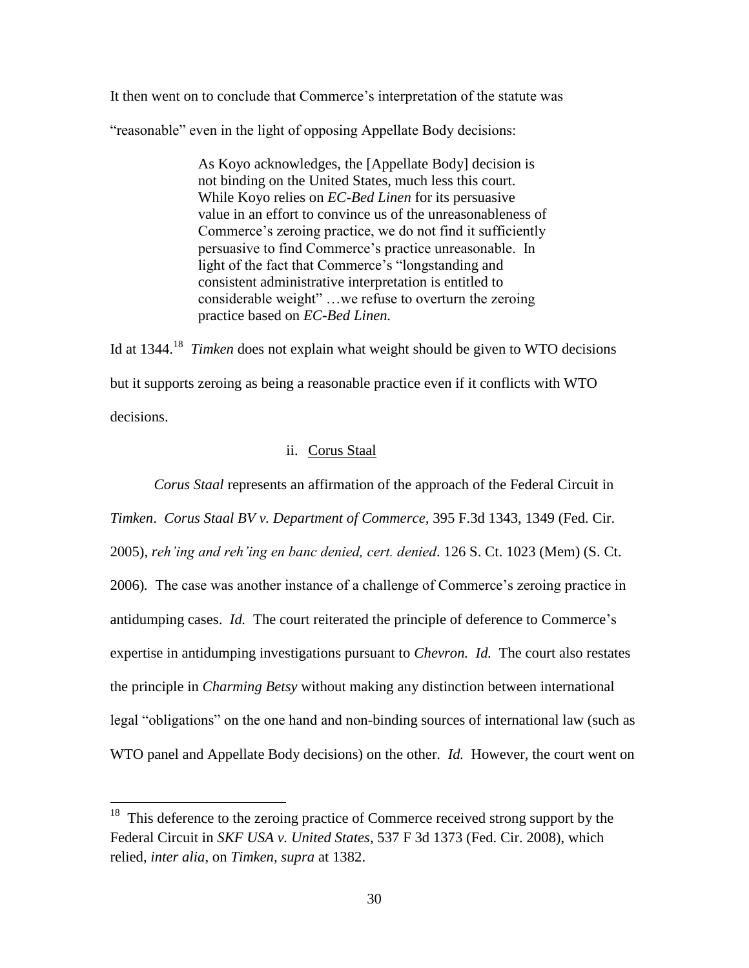It then went on to conclude that Commerce's interpretation of the statute was

"reasonable" even in the light of opposing Appellate Body decisions:

As Koyo acknowledges, the [Appellate Body] decision is not binding on the United States, much less this court. While Koyo relies on *EC-Bed Linen* for its persuasive value in an effort to convince us of the unreasonableness of Commerce's zeroing practice, we do not find it sufficiently persuasive to find Commerce's practice unreasonable. In light of the fact that Commerce's "longstanding and consistent administrative interpretation is entitled to considerable weight" …we refuse to overturn the zeroing practice based on *EC-Bed Linen.*

Id at 1344.<sup>18</sup> *Timken* does not explain what weight should be given to WTO decisions but it supports zeroing as being a reasonable practice even if it conflicts with WTO decisions.

## ii. Corus Staal

*Corus Staal* represents an affirmation of the approach of the Federal Circuit in *Timken*. *Corus Staal BV v. Department of Commerce,* 395 F.3d 1343, 1349 (Fed. Cir. 2005), *reh'ing and reh'ing en banc denied, cert. denied*. 126 S. Ct. 1023 (Mem) (S. Ct. 2006)*.* The case was another instance of a challenge of Commerce's zeroing practice in antidumping cases. *Id.* The court reiterated the principle of deference to Commerce's expertise in antidumping investigations pursuant to *Chevron. Id.* The court also restates the principle in *Charming Betsy* without making any distinction between international legal "obligations" on the one hand and non-binding sources of international law (such as WTO panel and Appellate Body decisions) on the other. *Id.* However, the court went on

<sup>&</sup>lt;sup>18</sup> This deference to the zeroing practice of Commerce received strong support by the Federal Circuit in *SKF USA v. United States*, 537 F 3d 1373 (Fed. Cir. 2008), which relied, *inter alia*, on *Timken, supra* at 1382.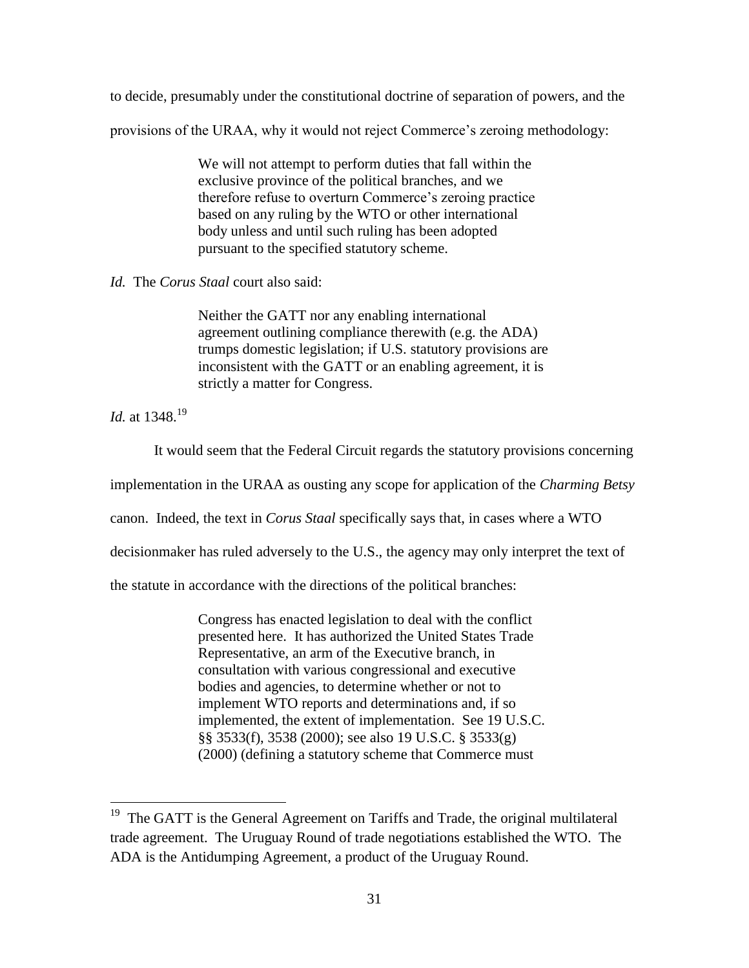to decide, presumably under the constitutional doctrine of separation of powers, and the

provisions of the URAA, why it would not reject Commerce's zeroing methodology:

We will not attempt to perform duties that fall within the exclusive province of the political branches, and we therefore refuse to overturn Commerce's zeroing practice based on any ruling by the WTO or other international body unless and until such ruling has been adopted pursuant to the specified statutory scheme.

## *Id.* The *Corus Staal* court also said:

Neither the GATT nor any enabling international agreement outlining compliance therewith (e.g. the ADA) trumps domestic legislation; if U.S. statutory provisions are inconsistent with the GATT or an enabling agreement, it is strictly a matter for Congress.

*Id.* at 1348.<sup>19</sup>

 $\overline{a}$ 

It would seem that the Federal Circuit regards the statutory provisions concerning

implementation in the URAA as ousting any scope for application of the *Charming Betsy*

canon. Indeed, the text in *Corus Staal* specifically says that, in cases where a WTO

decisionmaker has ruled adversely to the U.S., the agency may only interpret the text of

the statute in accordance with the directions of the political branches:

Congress has enacted legislation to deal with the conflict presented here. It has authorized the United States Trade Representative, an arm of the Executive branch, in consultation with various congressional and executive bodies and agencies, to determine whether or not to implement WTO reports and determinations and, if so implemented, the extent of implementation. See 19 U.S.C. §§ 3533(f), 3538 (2000); see also 19 U.S.C. § 3533(g) (2000) (defining a statutory scheme that Commerce must

<sup>&</sup>lt;sup>19</sup> The GATT is the General Agreement on Tariffs and Trade, the original multilateral trade agreement. The Uruguay Round of trade negotiations established the WTO. The ADA is the Antidumping Agreement, a product of the Uruguay Round.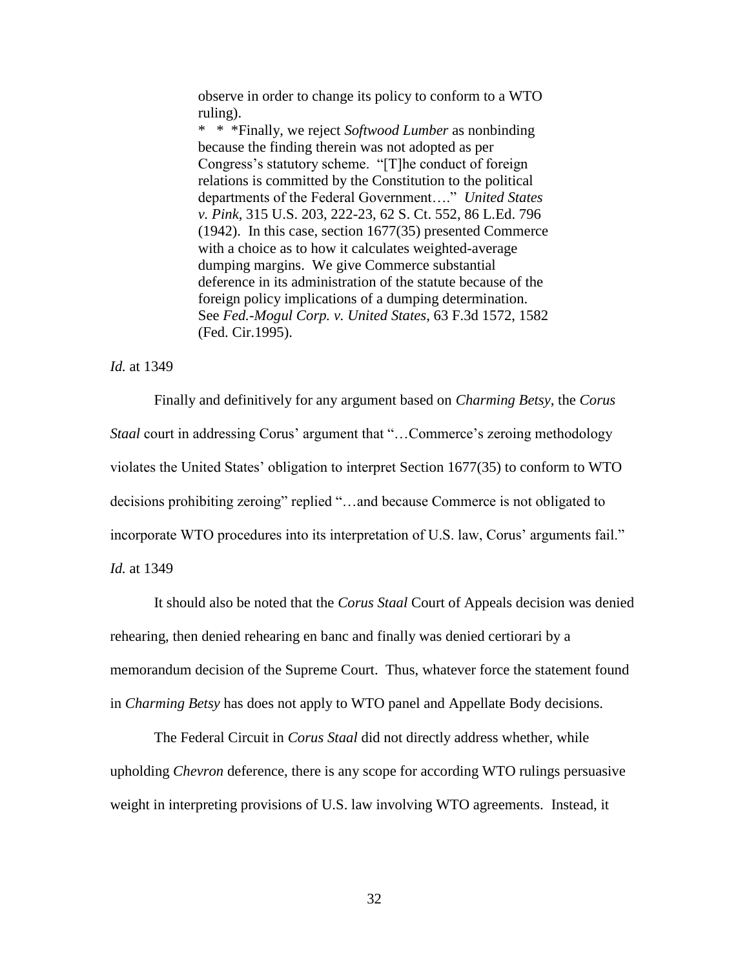observe in order to change its policy to conform to a WTO ruling).

\* \* \*Finally, we reject *Softwood Lumber* as nonbinding because the finding therein was not adopted as per Congress's statutory scheme. "[T]he conduct of foreign relations is committed by the Constitution to the political departments of the Federal Government…." *United States v. Pink*, 315 U.S. 203, 222-23, 62 S. Ct. 552, 86 L.Ed. 796 (1942). In this case, section 1677(35) presented Commerce with a choice as to how it calculates weighted-average dumping margins. We give Commerce substantial deference in its administration of the statute because of the foreign policy implications of a dumping determination. See *Fed.-Mogul Corp. v. United States*, 63 F.3d 1572, 1582 (Fed. Cir.1995).

### *Id.* at 1349

Finally and definitively for any argument based on *Charming Betsy,* the *Corus Staal* court in addressing Corus' argument that "…Commerce's zeroing methodology violates the United States' obligation to interpret Section 1677(35) to conform to WTO decisions prohibiting zeroing" replied "…and because Commerce is not obligated to incorporate WTO procedures into its interpretation of U.S. law, Corus' arguments fail." *Id.* at 1349

It should also be noted that the *Corus Staal* Court of Appeals decision was denied rehearing, then denied rehearing en banc and finally was denied certiorari by a memorandum decision of the Supreme Court. Thus, whatever force the statement found in *Charming Betsy* has does not apply to WTO panel and Appellate Body decisions.

The Federal Circuit in *Corus Staal* did not directly address whether, while upholding *Chevron* deference, there is any scope for according WTO rulings persuasive weight in interpreting provisions of U.S. law involving WTO agreements. Instead, it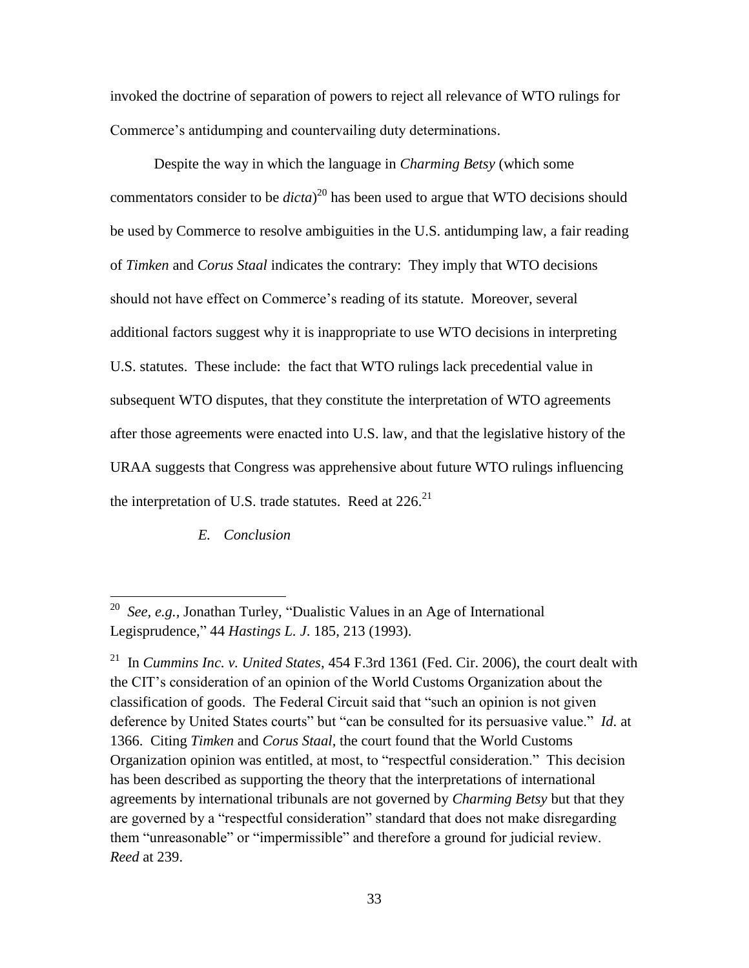invoked the doctrine of separation of powers to reject all relevance of WTO rulings for Commerce's antidumping and countervailing duty determinations.

Despite the way in which the language in *Charming Betsy* (which some commentators consider to be *dicta*) <sup>20</sup> has been used to argue that WTO decisions should be used by Commerce to resolve ambiguities in the U.S. antidumping law, a fair reading of *Timken* and *Corus Staal* indicates the contrary: They imply that WTO decisions should not have effect on Commerce's reading of its statute. Moreover, several additional factors suggest why it is inappropriate to use WTO decisions in interpreting U.S. statutes. These include: the fact that WTO rulings lack precedential value in subsequent WTO disputes, that they constitute the interpretation of WTO agreements after those agreements were enacted into U.S. law, and that the legislative history of the URAA suggests that Congress was apprehensive about future WTO rulings influencing the interpretation of U.S. trade statutes. Reed at  $226$ .<sup>21</sup>

*E. Conclusion*

<sup>20</sup> *See, e.g.,* Jonathan Turley, "Dualistic Values in an Age of International Legisprudence," 44 *Hastings L. J*. 185, 213 (1993).

<sup>21</sup> In *Cummins Inc. v. United States*, 454 F.3rd 1361 (Fed. Cir. 2006), the court dealt with the CIT's consideration of an opinion of the World Customs Organization about the classification of goods. The Federal Circuit said that "such an opinion is not given deference by United States courts" but "can be consulted for its persuasive value." *Id*. at 1366. Citing *Timken* and *Corus Staal*, the court found that the World Customs Organization opinion was entitled, at most, to "respectful consideration." This decision has been described as supporting the theory that the interpretations of international agreements by international tribunals are not governed by *Charming Betsy* but that they are governed by a "respectful consideration" standard that does not make disregarding them "unreasonable" or "impermissible" and therefore a ground for judicial review. *Reed* at 239.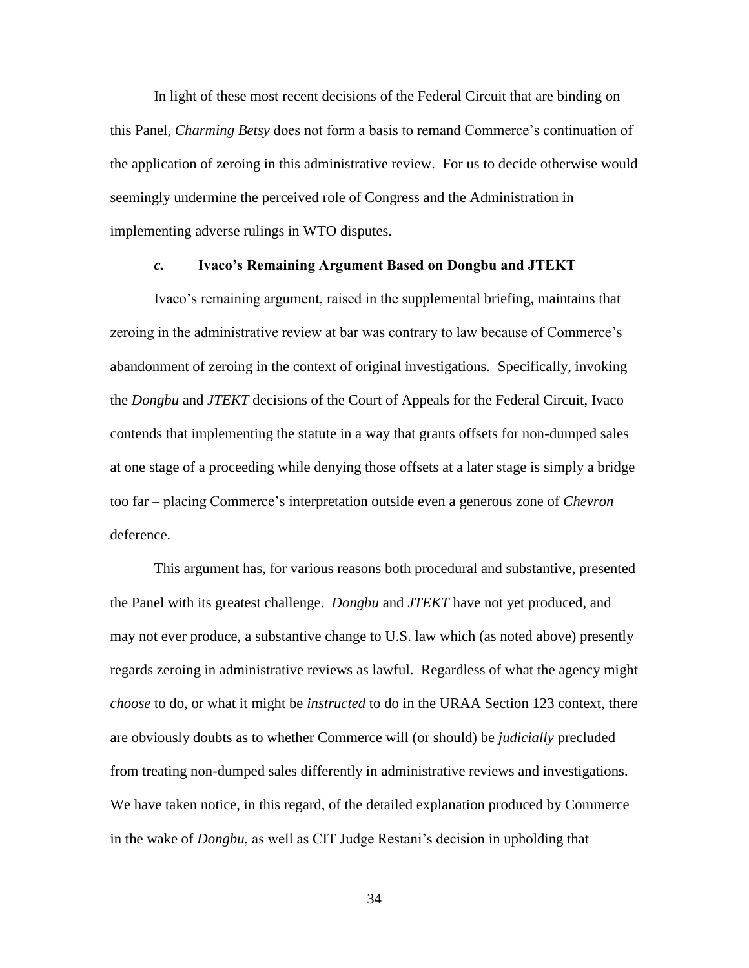In light of these most recent decisions of the Federal Circuit that are binding on this Panel, *Charming Betsy* does not form a basis to remand Commerce's continuation of the application of zeroing in this administrative review. For us to decide otherwise would seemingly undermine the perceived role of Congress and the Administration in implementing adverse rulings in WTO disputes.

## *c.* **Ivaco's Remaining Argument Based on Dongbu and JTEKT**

Ivaco's remaining argument, raised in the supplemental briefing, maintains that zeroing in the administrative review at bar was contrary to law because of Commerce's abandonment of zeroing in the context of original investigations. Specifically, invoking the *Dongbu* and *JTEKT* decisions of the Court of Appeals for the Federal Circuit, Ivaco contends that implementing the statute in a way that grants offsets for non-dumped sales at one stage of a proceeding while denying those offsets at a later stage is simply a bridge too far – placing Commerce's interpretation outside even a generous zone of *Chevron* deference.

This argument has, for various reasons both procedural and substantive, presented the Panel with its greatest challenge. *Dongbu* and *JTEKT* have not yet produced, and may not ever produce, a substantive change to U.S. law which (as noted above) presently regards zeroing in administrative reviews as lawful. Regardless of what the agency might *choose* to do, or what it might be *instructed* to do in the URAA Section 123 context, there are obviously doubts as to whether Commerce will (or should) be *judicially* precluded from treating non-dumped sales differently in administrative reviews and investigations. We have taken notice, in this regard, of the detailed explanation produced by Commerce in the wake of *Dongbu*, as well as CIT Judge Restani's decision in upholding that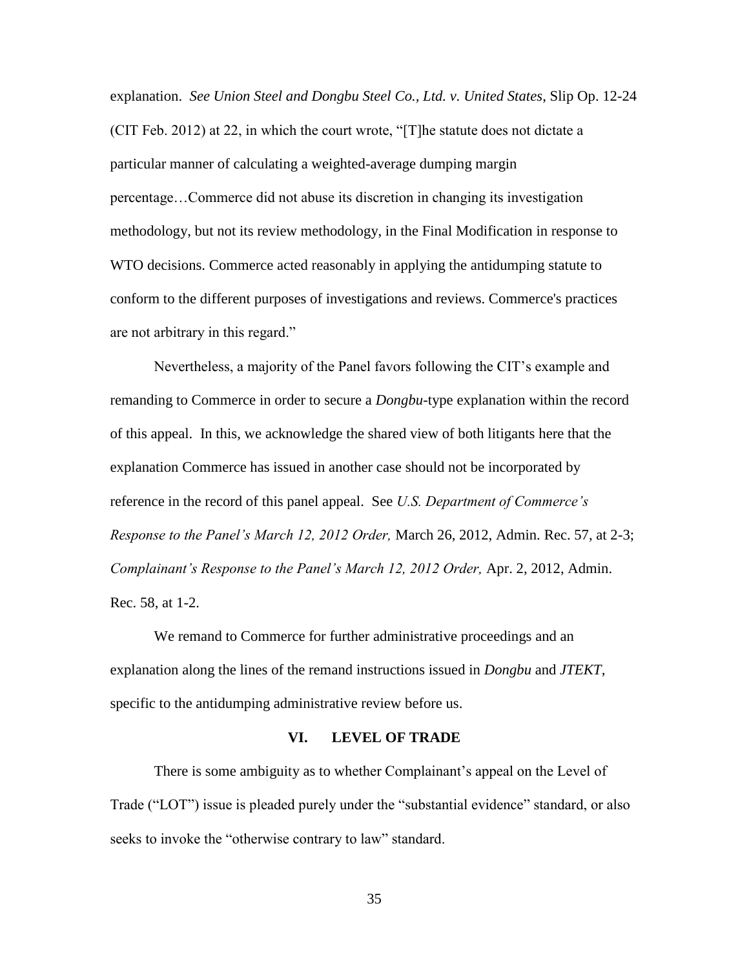explanation. *See Union Steel and Dongbu Steel Co., Ltd. v. United States*, Slip Op. 12-24 (CIT Feb. 2012) at 22, in which the court wrote, "[T]he statute does not dictate a particular manner of calculating a weighted-average dumping margin percentage…Commerce did not abuse its discretion in changing its investigation methodology, but not its review methodology, in the Final Modification in response to WTO decisions. Commerce acted reasonably in applying the antidumping statute to conform to the different purposes of investigations and reviews. Commerce's practices are not arbitrary in this regard."

Nevertheless, a majority of the Panel favors following the CIT's example and remanding to Commerce in order to secure a *Dongbu*-type explanation within the record of this appeal. In this, we acknowledge the shared view of both litigants here that the explanation Commerce has issued in another case should not be incorporated by reference in the record of this panel appeal. See *U.S. Department of Commerce's Response to the Panel's March 12, 2012 Order,* March 26, 2012, Admin. Rec. 57, at 2-3; *Complainant's Response to the Panel's March 12, 2012 Order,* Apr. 2, 2012, Admin. Rec. 58, at 1-2.

We remand to Commerce for further administrative proceedings and an explanation along the lines of the remand instructions issued in *Dongbu* and *JTEKT*, specific to the antidumping administrative review before us.

#### **VI. LEVEL OF TRADE**

There is some ambiguity as to whether Complainant's appeal on the Level of Trade ("LOT") issue is pleaded purely under the "substantial evidence" standard, or also seeks to invoke the "otherwise contrary to law" standard.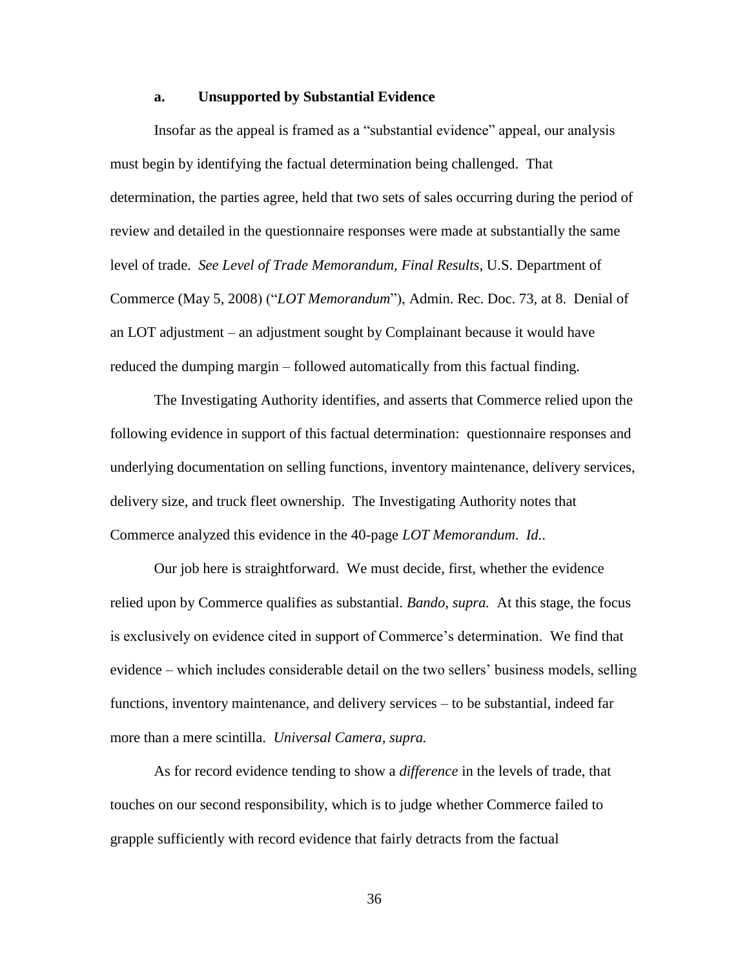### **a. Unsupported by Substantial Evidence**

Insofar as the appeal is framed as a "substantial evidence" appeal, our analysis must begin by identifying the factual determination being challenged. That determination, the parties agree, held that two sets of sales occurring during the period of review and detailed in the questionnaire responses were made at substantially the same level of trade. *See Level of Trade Memorandum, Final Results*, U.S. Department of Commerce (May 5, 2008) ("*LOT Memorandum*"), Admin. Rec. Doc. 73, at 8. Denial of an LOT adjustment – an adjustment sought by Complainant because it would have reduced the dumping margin – followed automatically from this factual finding.

The Investigating Authority identifies, and asserts that Commerce relied upon the following evidence in support of this factual determination: questionnaire responses and underlying documentation on selling functions, inventory maintenance, delivery services, delivery size, and truck fleet ownership. The Investigating Authority notes that Commerce analyzed this evidence in the 40-page *LOT Memorandum*. *Id.*.

Our job here is straightforward. We must decide, first, whether the evidence relied upon by Commerce qualifies as substantial. *Bando, supra.* At this stage, the focus is exclusively on evidence cited in support of Commerce's determination. We find that evidence – which includes considerable detail on the two sellers' business models, selling functions, inventory maintenance, and delivery services – to be substantial, indeed far more than a mere scintilla. *Universal Camera, supra.*

As for record evidence tending to show a *difference* in the levels of trade, that touches on our second responsibility, which is to judge whether Commerce failed to grapple sufficiently with record evidence that fairly detracts from the factual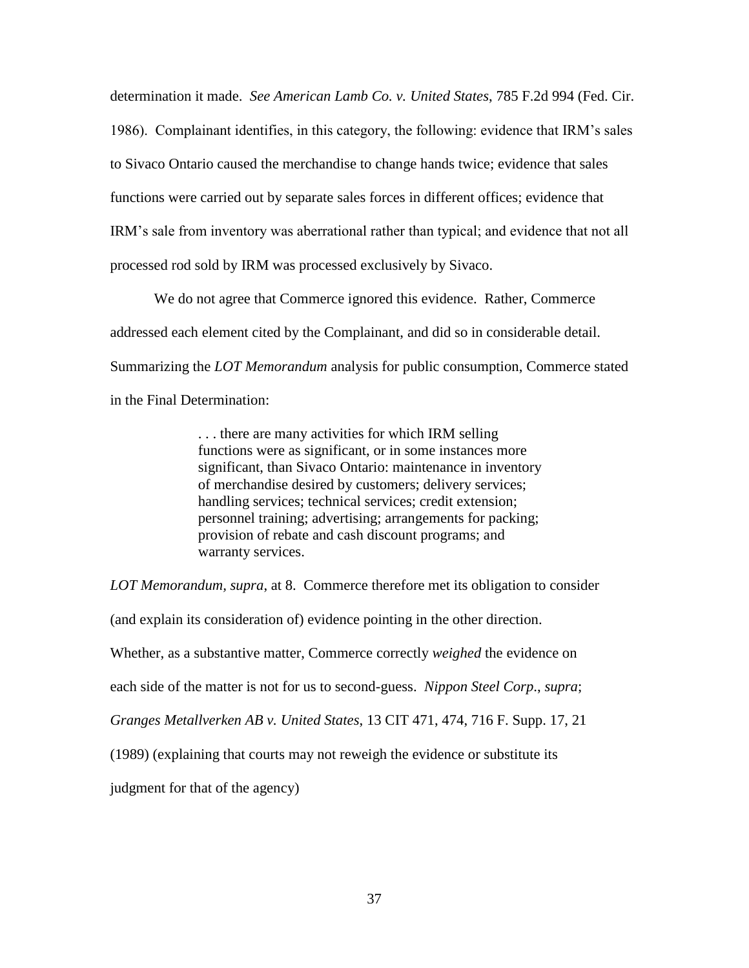determination it made. *See American Lamb Co. v. United States*, 785 F.2d 994 (Fed. Cir. 1986). Complainant identifies, in this category, the following: evidence that IRM's sales to Sivaco Ontario caused the merchandise to change hands twice; evidence that sales functions were carried out by separate sales forces in different offices; evidence that IRM's sale from inventory was aberrational rather than typical; and evidence that not all processed rod sold by IRM was processed exclusively by Sivaco.

We do not agree that Commerce ignored this evidence. Rather, Commerce addressed each element cited by the Complainant, and did so in considerable detail. Summarizing the *LOT Memorandum* analysis for public consumption, Commerce stated in the Final Determination:

> . . . there are many activities for which IRM selling functions were as significant, or in some instances more significant, than Sivaco Ontario: maintenance in inventory of merchandise desired by customers; delivery services; handling services; technical services; credit extension; personnel training; advertising; arrangements for packing; provision of rebate and cash discount programs; and warranty services.

*LOT Memorandum, supra*, at 8. Commerce therefore met its obligation to consider

(and explain its consideration of) evidence pointing in the other direction.

Whether, as a substantive matter, Commerce correctly *weighed* the evidence on

each side of the matter is not for us to second-guess. *Nippon Steel Corp*., *supra*;

*Granges Metallverken AB v. United States*, 13 CIT 471, 474, 716 F. Supp. 17, 21

(1989) (explaining that courts may not reweigh the evidence or substitute its

judgment for that of the agency)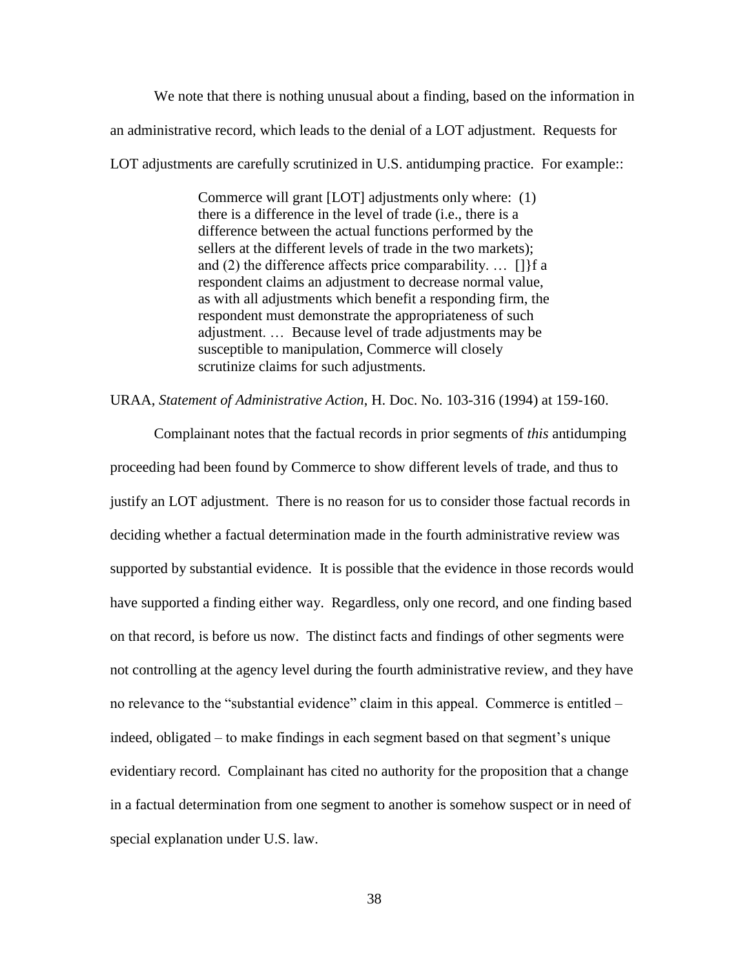We note that there is nothing unusual about a finding, based on the information in an administrative record, which leads to the denial of a LOT adjustment. Requests for LOT adjustments are carefully scrutinized in U.S. antidumping practice. For example::

> Commerce will grant [LOT] adjustments only where: (1) there is a difference in the level of trade (i.e., there is a difference between the actual functions performed by the sellers at the different levels of trade in the two markets); and (2) the difference affects price comparability.  $\dots$  [] { f a respondent claims an adjustment to decrease normal value, as with all adjustments which benefit a responding firm, the respondent must demonstrate the appropriateness of such adjustment. … Because level of trade adjustments may be susceptible to manipulation, Commerce will closely scrutinize claims for such adjustments.

URAA, *Statement of Administrative Action*, H. Doc. No. 103-316 (1994) at 159-160.

Complainant notes that the factual records in prior segments of *this* antidumping proceeding had been found by Commerce to show different levels of trade, and thus to justify an LOT adjustment. There is no reason for us to consider those factual records in deciding whether a factual determination made in the fourth administrative review was supported by substantial evidence. It is possible that the evidence in those records would have supported a finding either way. Regardless, only one record, and one finding based on that record, is before us now. The distinct facts and findings of other segments were not controlling at the agency level during the fourth administrative review, and they have no relevance to the "substantial evidence" claim in this appeal. Commerce is entitled – indeed, obligated – to make findings in each segment based on that segment's unique evidentiary record. Complainant has cited no authority for the proposition that a change in a factual determination from one segment to another is somehow suspect or in need of special explanation under U.S. law.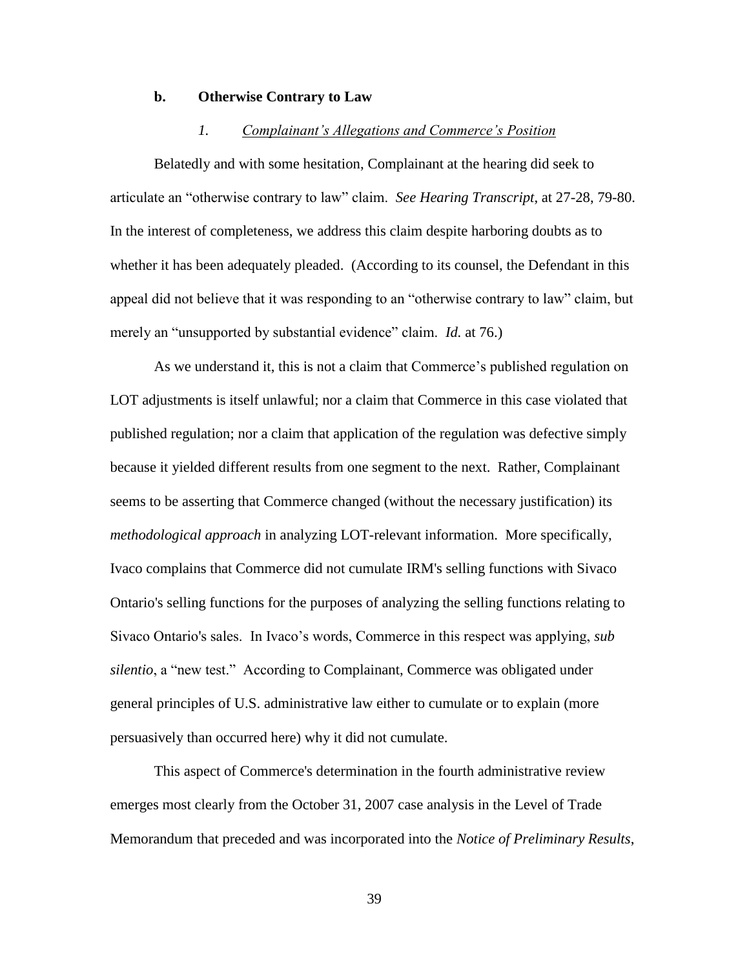### **b. Otherwise Contrary to Law**

## *1. Complainant's Allegations and Commerce's Position*

Belatedly and with some hesitation, Complainant at the hearing did seek to articulate an "otherwise contrary to law" claim. *See Hearing Transcript*, at 27-28, 79-80. In the interest of completeness, we address this claim despite harboring doubts as to whether it has been adequately pleaded. (According to its counsel, the Defendant in this appeal did not believe that it was responding to an "otherwise contrary to law" claim, but merely an "unsupported by substantial evidence" claim. *Id.* at 76.)

As we understand it, this is not a claim that Commerce's published regulation on LOT adjustments is itself unlawful; nor a claim that Commerce in this case violated that published regulation; nor a claim that application of the regulation was defective simply because it yielded different results from one segment to the next. Rather, Complainant seems to be asserting that Commerce changed (without the necessary justification) its *methodological approach* in analyzing LOT-relevant information. More specifically, Ivaco complains that Commerce did not cumulate IRM's selling functions with Sivaco Ontario's selling functions for the purposes of analyzing the selling functions relating to Sivaco Ontario's sales. In Ivaco's words, Commerce in this respect was applying, *sub silentio*, a "new test." According to Complainant, Commerce was obligated under general principles of U.S. administrative law either to cumulate or to explain (more persuasively than occurred here) why it did not cumulate.

This aspect of Commerce's determination in the fourth administrative review emerges most clearly from the October 31, 2007 case analysis in the Level of Trade Memorandum that preceded and was incorporated into the *Notice of Preliminary Results*,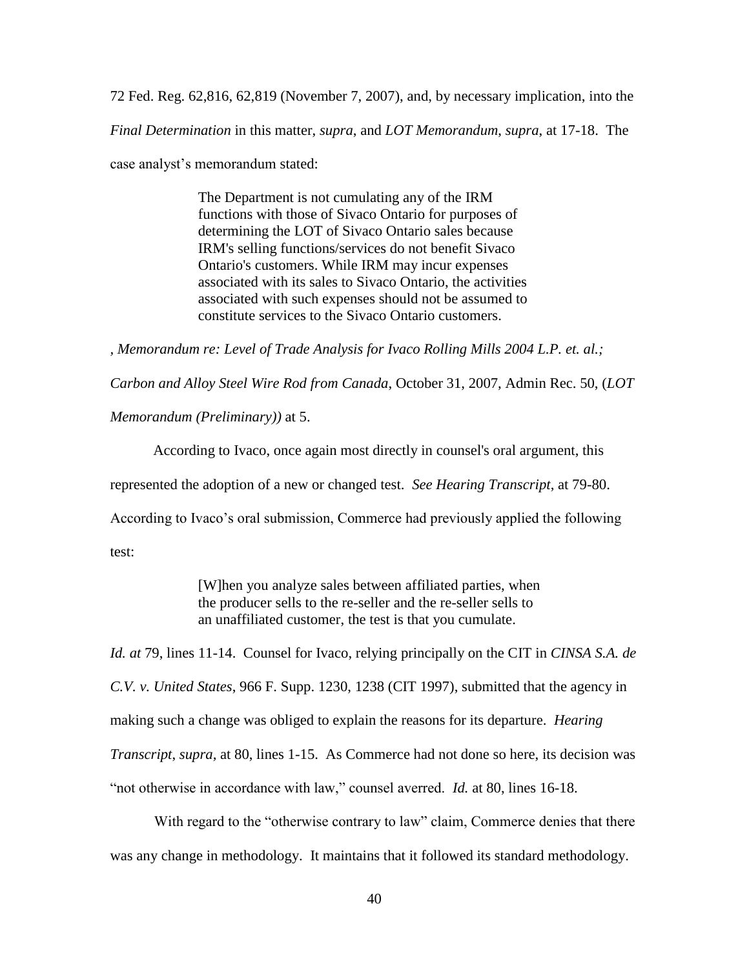72 Fed. Reg. 62,816, 62,819 (November 7, 2007), and, by necessary implication, into the *Final Determination* in this matter, *supra*, and *LOT Memorandum*, *supra*, at 17-18. The case analyst's memorandum stated:

> The Department is not cumulating any of the IRM functions with those of Sivaco Ontario for purposes of determining the LOT of Sivaco Ontario sales because IRM's selling functions/services do not benefit Sivaco Ontario's customers. While IRM may incur expenses associated with its sales to Sivaco Ontario, the activities associated with such expenses should not be assumed to constitute services to the Sivaco Ontario customers.

*, Memorandum re: Level of Trade Analysis for Ivaco Rolling Mills 2004 L.P. et. al.;* 

*Carbon and Alloy Steel Wire Rod from Canada*, October 31, 2007, Admin Rec. 50, (*LOT* 

*Memorandum (Preliminary))* at 5.

According to Ivaco, once again most directly in counsel's oral argument, this represented the adoption of a new or changed test. *See Hearing Transcript*, at 79-80. According to Ivaco's oral submission, Commerce had previously applied the following test:

> [W]hen you analyze sales between affiliated parties, when the producer sells to the re-seller and the re-seller sells to an unaffiliated customer, the test is that you cumulate.

*Id. at* 79, lines 11-14. Counsel for Ivaco, relying principally on the CIT in *CINSA S.A. de C.V. v. United States*, 966 F. Supp. 1230, 1238 (CIT 1997), submitted that the agency in making such a change was obliged to explain the reasons for its departure. *Hearing Transcript*, *supra,* at 80, lines 1-15. As Commerce had not done so here, its decision was "not otherwise in accordance with law," counsel averred. *Id.* at 80, lines 16-18.

With regard to the "otherwise contrary to law" claim, Commerce denies that there was any change in methodology. It maintains that it followed its standard methodology.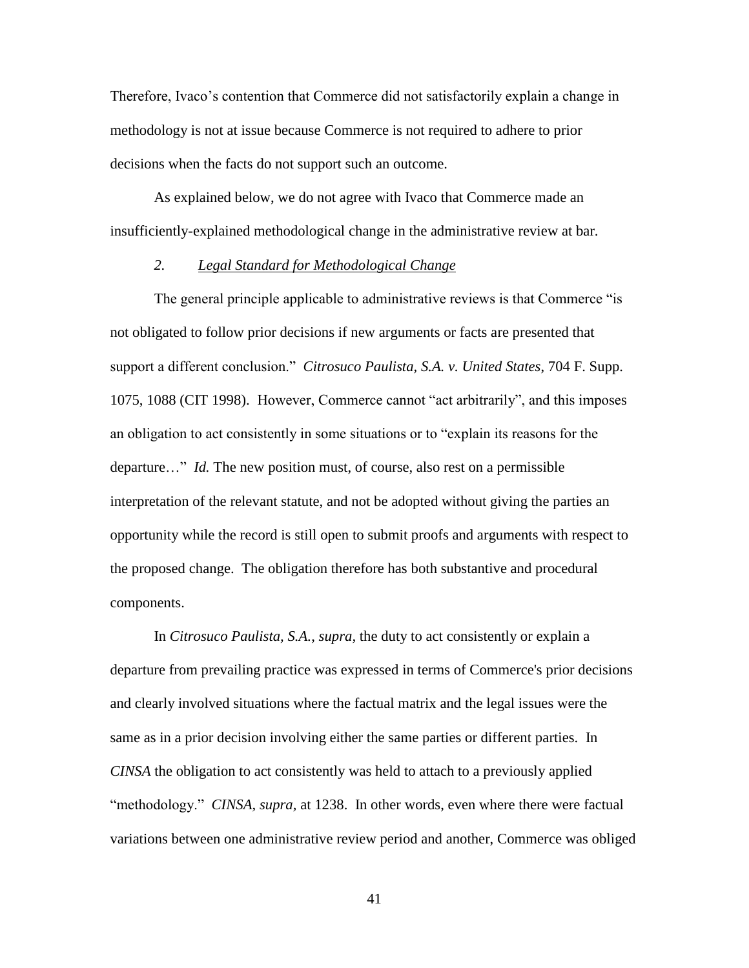Therefore, Ivaco's contention that Commerce did not satisfactorily explain a change in methodology is not at issue because Commerce is not required to adhere to prior decisions when the facts do not support such an outcome.

As explained below, we do not agree with Ivaco that Commerce made an insufficiently-explained methodological change in the administrative review at bar.

## *2. Legal Standard for Methodological Change*

The general principle applicable to administrative reviews is that Commerce "is not obligated to follow prior decisions if new arguments or facts are presented that support a different conclusion." *Citrosuco Paulista, S.A. v. United States*, 704 F. Supp. 1075, 1088 (CIT 1998). However, Commerce cannot "act arbitrarily", and this imposes an obligation to act consistently in some situations or to "explain its reasons for the departure…" *Id.* The new position must, of course, also rest on a permissible interpretation of the relevant statute, and not be adopted without giving the parties an opportunity while the record is still open to submit proofs and arguments with respect to the proposed change. The obligation therefore has both substantive and procedural components.

In *Citrosuco Paulista, S.A.*, *supra,* the duty to act consistently or explain a departure from prevailing practice was expressed in terms of Commerce's prior decisions and clearly involved situations where the factual matrix and the legal issues were the same as in a prior decision involving either the same parties or different parties. In *CINSA* the obligation to act consistently was held to attach to a previously applied "methodology." *CINSA, supra,* at 1238. In other words, even where there were factual variations between one administrative review period and another, Commerce was obliged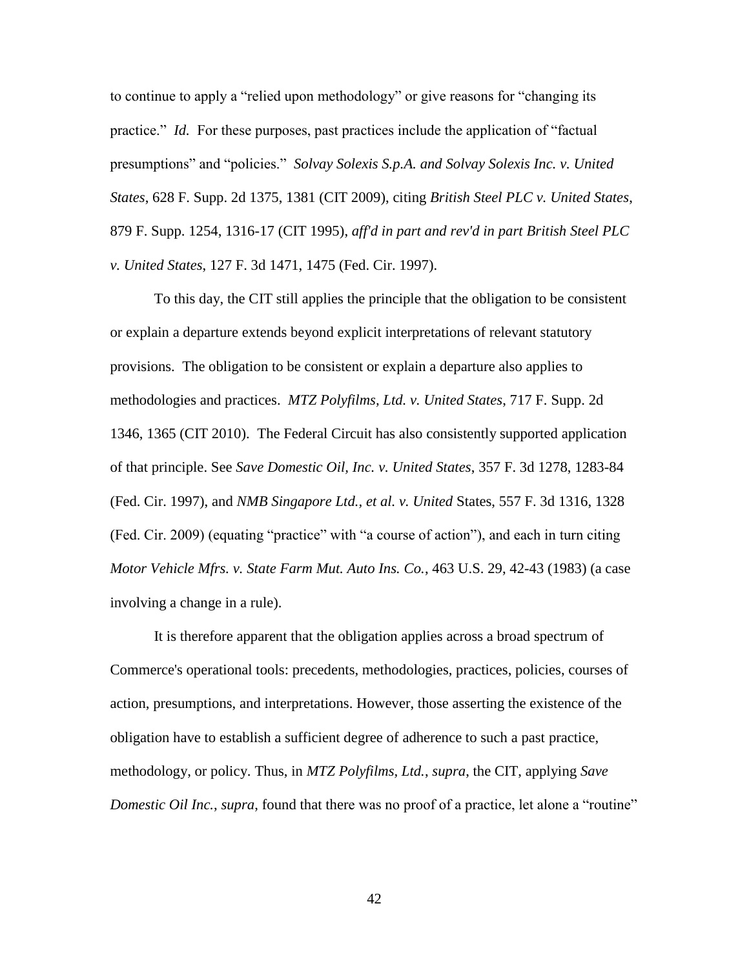to continue to apply a "relied upon methodology" or give reasons for "changing its practice." *Id.* For these purposes, past practices include the application of "factual presumptions" and "policies." *Solvay Solexis S.p.A. and Solvay Solexis Inc. v. United States*, 628 F. Supp. 2d 1375, 1381 (CIT 2009), citing *British Steel PLC v. United States*, 879 F. Supp. 1254, 1316-17 (CIT 1995), *aff'd in part and rev'd in part British Steel PLC v. United States*, 127 F. 3d 1471, 1475 (Fed. Cir. 1997).

To this day, the CIT still applies the principle that the obligation to be consistent or explain a departure extends beyond explicit interpretations of relevant statutory provisions. The obligation to be consistent or explain a departure also applies to methodologies and practices. *MTZ Polyfilms, Ltd. v. United States*, 717 F. Supp. 2d 1346, 1365 (CIT 2010). The Federal Circuit has also consistently supported application of that principle. See *Save Domestic Oil, Inc. v. United States*, 357 F. 3d 1278, 1283-84 (Fed. Cir. 1997), and *NMB Singapore Ltd., et al. v. United* States, 557 F. 3d 1316, 1328 (Fed. Cir. 2009) (equating "practice" with "a course of action"), and each in turn citing *Motor Vehicle Mfrs. v. State Farm Mut. Auto Ins. Co.*, 463 U.S. 29, 42-43 (1983) (a case involving a change in a rule).

It is therefore apparent that the obligation applies across a broad spectrum of Commerce's operational tools: precedents, methodologies, practices, policies, courses of action, presumptions, and interpretations. However, those asserting the existence of the obligation have to establish a sufficient degree of adherence to such a past practice, methodology, or policy. Thus, in *MTZ Polyfilms, Ltd.*, *supra*, the CIT, applying *Save Domestic Oil Inc.*, *supra*, found that there was no proof of a practice, let alone a "routine"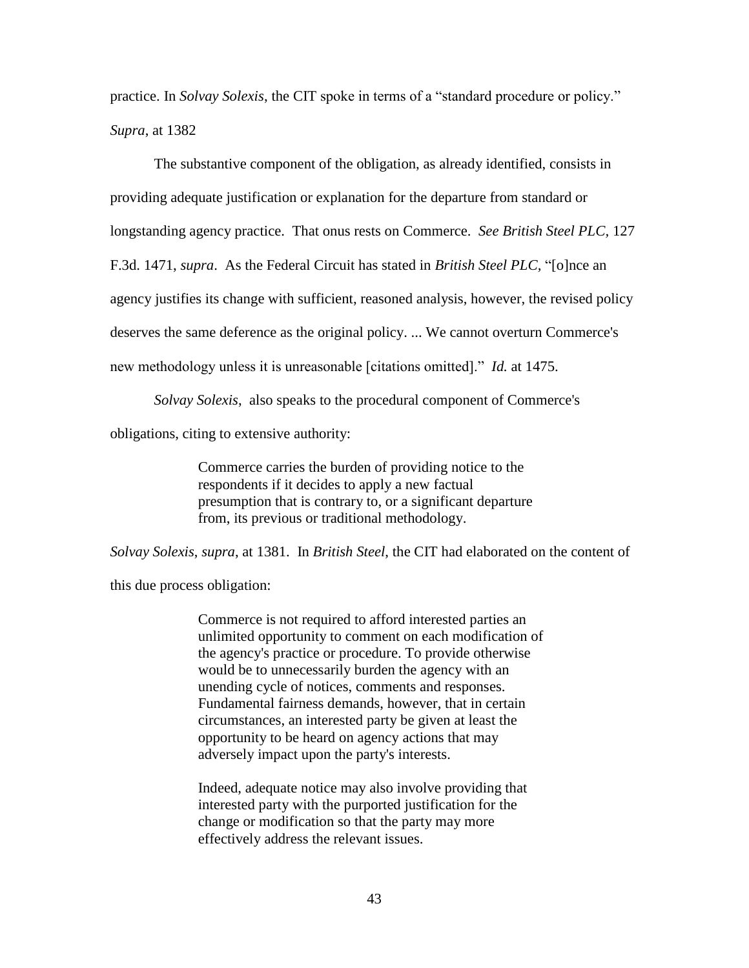practice. In *Solvay Solexis*, the CIT spoke in terms of a "standard procedure or policy." *Supra*, at 1382

The substantive component of the obligation, as already identified, consists in providing adequate justification or explanation for the departure from standard or longstanding agency practice. That onus rests on Commerce. *See British Steel PLC,* 127 F.3d. 1471, *supra*. As the Federal Circuit has stated in *British Steel PLC,* "[o]nce an agency justifies its change with sufficient, reasoned analysis, however, the revised policy deserves the same deference as the original policy. ... We cannot overturn Commerce's new methodology unless it is unreasonable [citations omitted]." *Id.* at 1475.

*Solvay Solexis*, also speaks to the procedural component of Commerce's

obligations, citing to extensive authority:

Commerce carries the burden of providing notice to the respondents if it decides to apply a new factual presumption that is contrary to, or a significant departure from, its previous or traditional methodology.

*Solvay Solexis*, *supra*, at 1381. In *British Steel*, the CIT had elaborated on the content of

this due process obligation:

Commerce is not required to afford interested parties an unlimited opportunity to comment on each modification of the agency's practice or procedure. To provide otherwise would be to unnecessarily burden the agency with an unending cycle of notices, comments and responses. Fundamental fairness demands, however, that in certain circumstances, an interested party be given at least the opportunity to be heard on agency actions that may adversely impact upon the party's interests.

Indeed, adequate notice may also involve providing that interested party with the purported justification for the change or modification so that the party may more effectively address the relevant issues.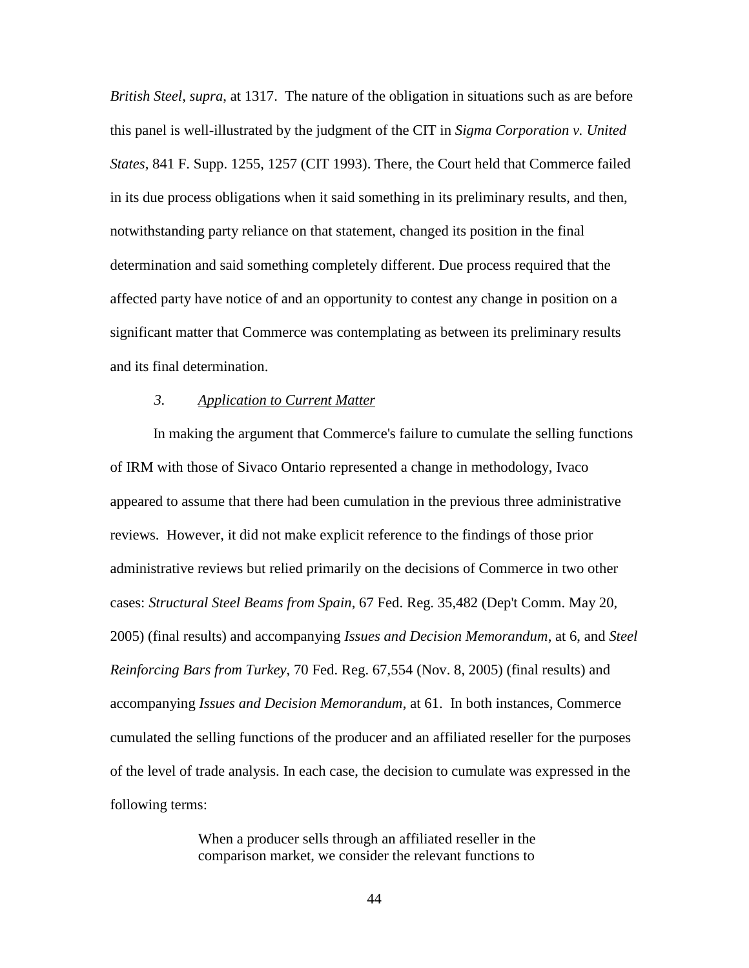*British Steel*, *supra*, at 1317. The nature of the obligation in situations such as are before this panel is well-illustrated by the judgment of the CIT in *Sigma Corporation v. United States*, 841 F. Supp. 1255, 1257 (CIT 1993). There, the Court held that Commerce failed in its due process obligations when it said something in its preliminary results, and then, notwithstanding party reliance on that statement, changed its position in the final determination and said something completely different. Due process required that the affected party have notice of and an opportunity to contest any change in position on a significant matter that Commerce was contemplating as between its preliminary results and its final determination.

### *3. Application to Current Matter*

In making the argument that Commerce's failure to cumulate the selling functions of IRM with those of Sivaco Ontario represented a change in methodology, Ivaco appeared to assume that there had been cumulation in the previous three administrative reviews. However, it did not make explicit reference to the findings of those prior administrative reviews but relied primarily on the decisions of Commerce in two other cases: *Structural Steel Beams from Spain*, 67 Fed. Reg. 35,482 (Dep't Comm. May 20, 2005) (final results) and accompanying *Issues and Decision Memorandum*, at 6, and *Steel Reinforcing Bars from Turkey*, 70 Fed. Reg. 67,554 (Nov. 8, 2005) (final results) and accompanying *Issues and Decision Memorandum*, at 61. In both instances, Commerce cumulated the selling functions of the producer and an affiliated reseller for the purposes of the level of trade analysis. In each case, the decision to cumulate was expressed in the following terms:

> When a producer sells through an affiliated reseller in the comparison market, we consider the relevant functions to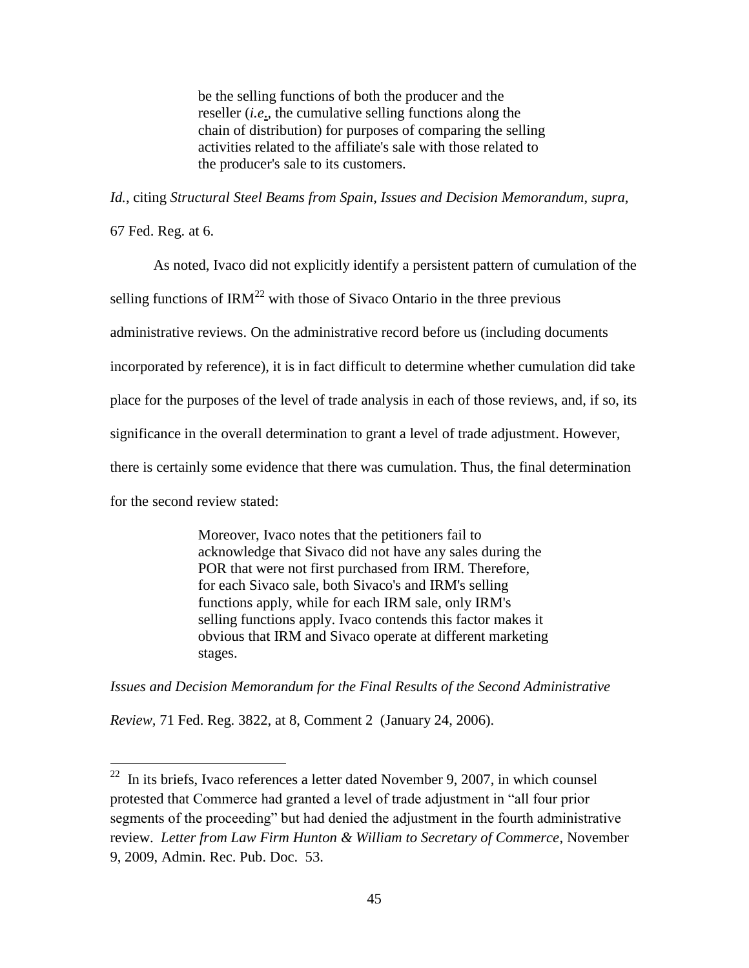be the selling functions of both the producer and the reseller (*i.e*., the cumulative selling functions along the chain of distribution) for purposes of comparing the selling activities related to the affiliate's sale with those related to the producer's sale to its customers.

*Id.*, citing *Structural Steel Beams from Spain*, *Issues and Decision Memorandum*, *supra*,

67 Fed. Reg. at 6.

As noted, Ivaco did not explicitly identify a persistent pattern of cumulation of the

selling functions of  $\text{IRM}^{22}$  with those of Sivaco Ontario in the three previous

administrative reviews. On the administrative record before us (including documents

incorporated by reference), it is in fact difficult to determine whether cumulation did take

place for the purposes of the level of trade analysis in each of those reviews, and, if so, its

significance in the overall determination to grant a level of trade adjustment. However,

there is certainly some evidence that there was cumulation. Thus, the final determination

for the second review stated:

Moreover, Ivaco notes that the petitioners fail to acknowledge that Sivaco did not have any sales during the POR that were not first purchased from IRM. Therefore, for each Sivaco sale, both Sivaco's and IRM's selling functions apply, while for each IRM sale, only IRM's selling functions apply. Ivaco contends this factor makes it obvious that IRM and Sivaco operate at different marketing stages.

*Issues and Decision Memorandum for the Final Results of the Second Administrative* 

*Review,* 71 Fed. Reg. 3822, at 8, Comment 2 (January 24, 2006).

<sup>&</sup>lt;sup>22</sup> In its briefs, Ivaco references a letter dated November 9, 2007, in which counsel protested that Commerce had granted a level of trade adjustment in "all four prior segments of the proceeding" but had denied the adjustment in the fourth administrative review. *Letter from Law Firm Hunton & William to Secretary of Commerce*, November 9, 2009, Admin. Rec. Pub. Doc. 53.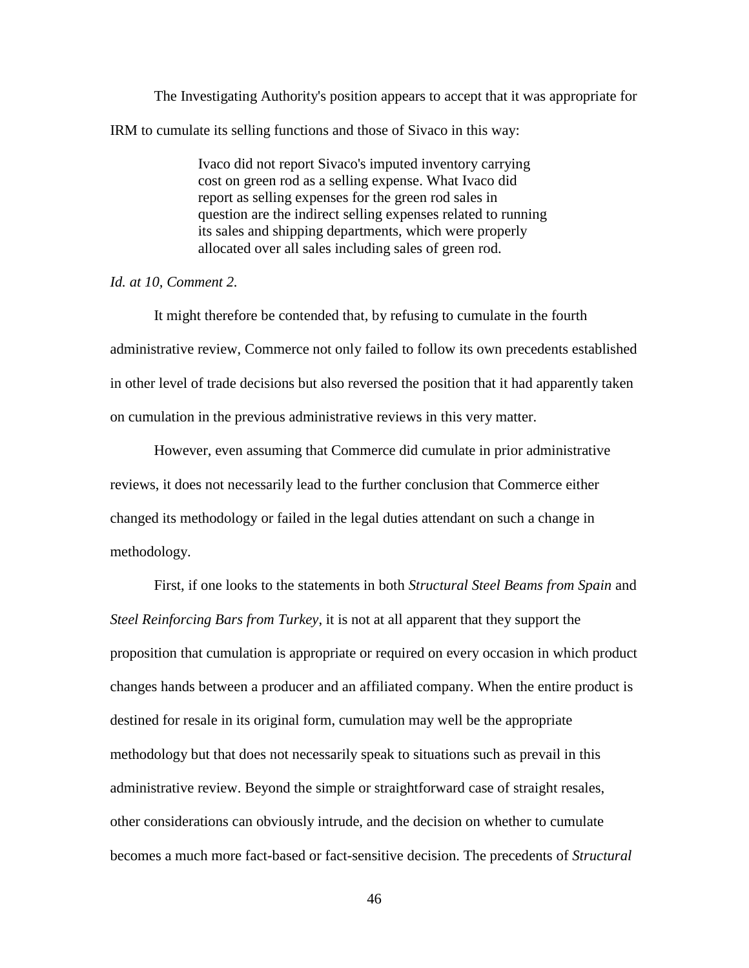The Investigating Authority's position appears to accept that it was appropriate for IRM to cumulate its selling functions and those of Sivaco in this way:

> Ivaco did not report Sivaco's imputed inventory carrying cost on green rod as a selling expense. What Ivaco did report as selling expenses for the green rod sales in question are the indirect selling expenses related to running its sales and shipping departments, which were properly allocated over all sales including sales of green rod.

## *Id. at 10, Comment 2.*

It might therefore be contended that, by refusing to cumulate in the fourth administrative review, Commerce not only failed to follow its own precedents established in other level of trade decisions but also reversed the position that it had apparently taken on cumulation in the previous administrative reviews in this very matter.

However, even assuming that Commerce did cumulate in prior administrative reviews, it does not necessarily lead to the further conclusion that Commerce either changed its methodology or failed in the legal duties attendant on such a change in methodology.

First, if one looks to the statements in both *Structural Steel Beams from Spain* and *Steel Reinforcing Bars from Turkey*, it is not at all apparent that they support the proposition that cumulation is appropriate or required on every occasion in which product changes hands between a producer and an affiliated company. When the entire product is destined for resale in its original form, cumulation may well be the appropriate methodology but that does not necessarily speak to situations such as prevail in this administrative review. Beyond the simple or straightforward case of straight resales, other considerations can obviously intrude, and the decision on whether to cumulate becomes a much more fact-based or fact-sensitive decision. The precedents of *Structural*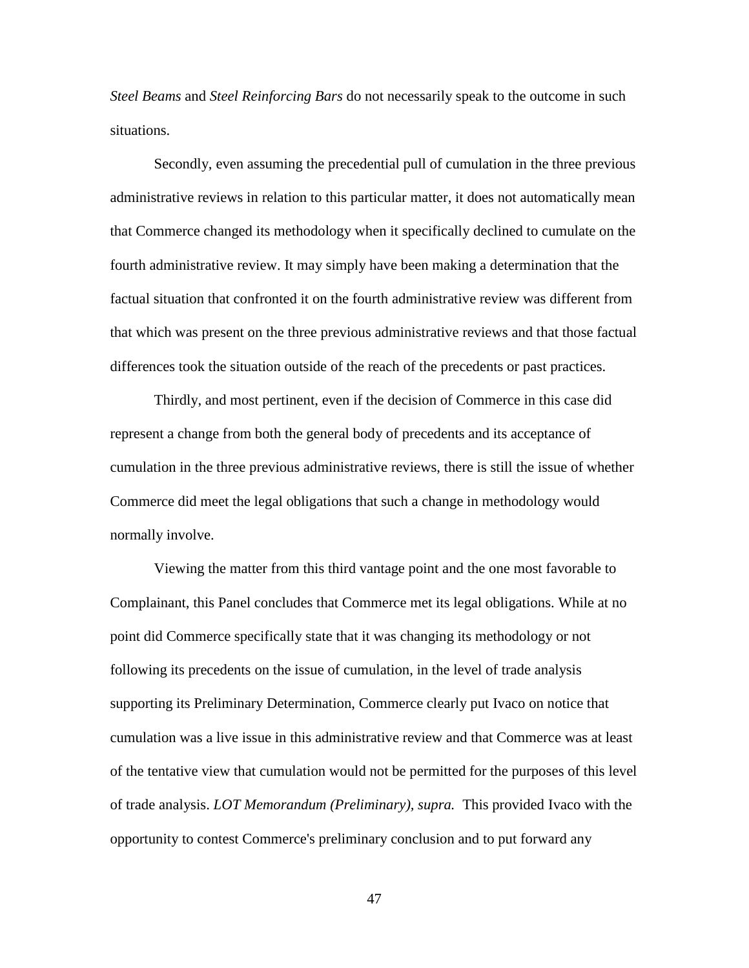*Steel Beams* and *Steel Reinforcing Bars* do not necessarily speak to the outcome in such situations.

Secondly, even assuming the precedential pull of cumulation in the three previous administrative reviews in relation to this particular matter, it does not automatically mean that Commerce changed its methodology when it specifically declined to cumulate on the fourth administrative review. It may simply have been making a determination that the factual situation that confronted it on the fourth administrative review was different from that which was present on the three previous administrative reviews and that those factual differences took the situation outside of the reach of the precedents or past practices.

Thirdly, and most pertinent, even if the decision of Commerce in this case did represent a change from both the general body of precedents and its acceptance of cumulation in the three previous administrative reviews, there is still the issue of whether Commerce did meet the legal obligations that such a change in methodology would normally involve.

Viewing the matter from this third vantage point and the one most favorable to Complainant, this Panel concludes that Commerce met its legal obligations. While at no point did Commerce specifically state that it was changing its methodology or not following its precedents on the issue of cumulation, in the level of trade analysis supporting its Preliminary Determination, Commerce clearly put Ivaco on notice that cumulation was a live issue in this administrative review and that Commerce was at least of the tentative view that cumulation would not be permitted for the purposes of this level of trade analysis. *LOT Memorandum (Preliminary), supra.* This provided Ivaco with the opportunity to contest Commerce's preliminary conclusion and to put forward any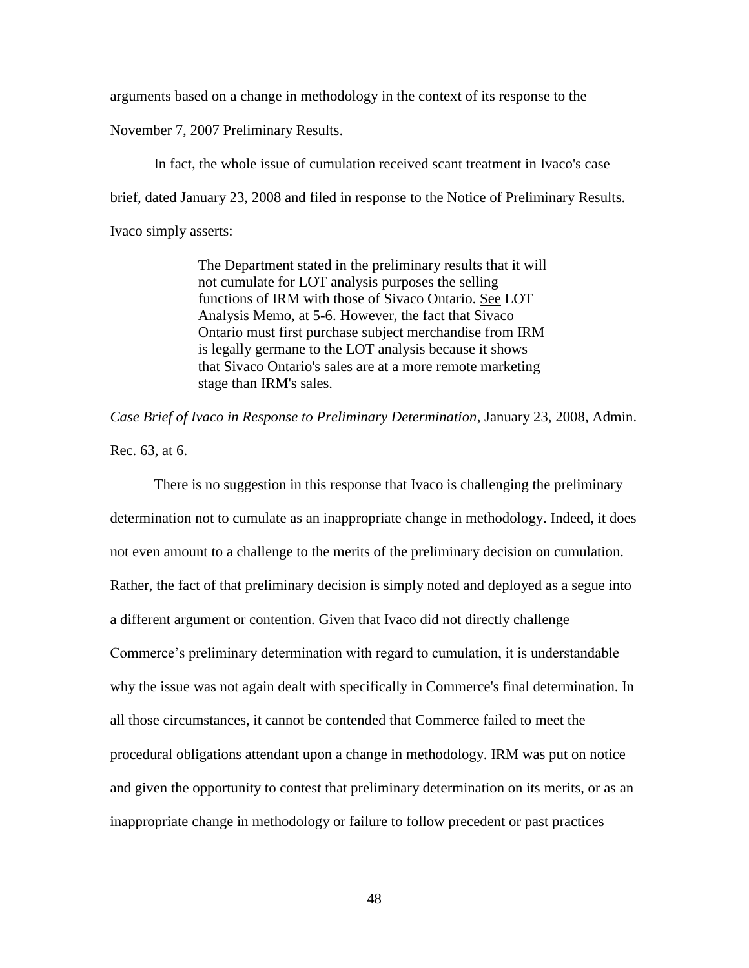arguments based on a change in methodology in the context of its response to the

November 7, 2007 Preliminary Results.

In fact, the whole issue of cumulation received scant treatment in Ivaco's case brief, dated January 23, 2008 and filed in response to the Notice of Preliminary Results. Ivaco simply asserts:

> The Department stated in the preliminary results that it will not cumulate for LOT analysis purposes the selling functions of IRM with those of Sivaco Ontario. See LOT Analysis Memo, at 5-6. However, the fact that Sivaco Ontario must first purchase subject merchandise from IRM is legally germane to the LOT analysis because it shows that Sivaco Ontario's sales are at a more remote marketing stage than IRM's sales.

*Case Brief of Ivaco in Response to Preliminary Determination*, January 23, 2008, Admin.

Rec. 63, at 6.

There is no suggestion in this response that Ivaco is challenging the preliminary determination not to cumulate as an inappropriate change in methodology. Indeed, it does not even amount to a challenge to the merits of the preliminary decision on cumulation. Rather, the fact of that preliminary decision is simply noted and deployed as a segue into a different argument or contention. Given that Ivaco did not directly challenge Commerce's preliminary determination with regard to cumulation, it is understandable why the issue was not again dealt with specifically in Commerce's final determination. In all those circumstances, it cannot be contended that Commerce failed to meet the procedural obligations attendant upon a change in methodology. IRM was put on notice and given the opportunity to contest that preliminary determination on its merits, or as an inappropriate change in methodology or failure to follow precedent or past practices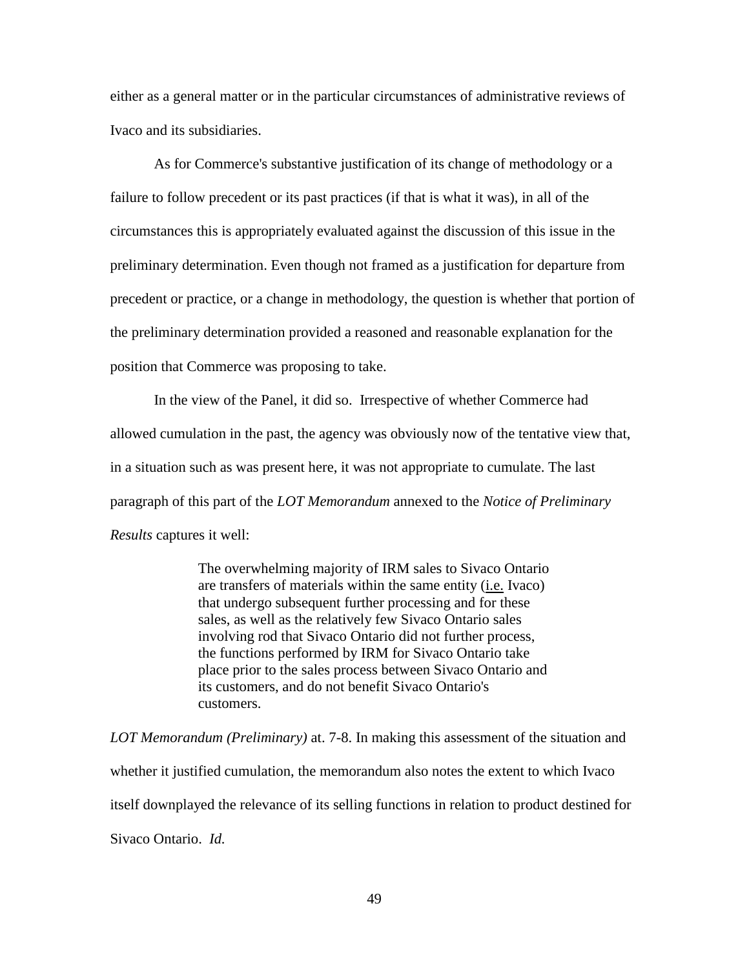either as a general matter or in the particular circumstances of administrative reviews of Ivaco and its subsidiaries.

As for Commerce's substantive justification of its change of methodology or a failure to follow precedent or its past practices (if that is what it was), in all of the circumstances this is appropriately evaluated against the discussion of this issue in the preliminary determination. Even though not framed as a justification for departure from precedent or practice, or a change in methodology, the question is whether that portion of the preliminary determination provided a reasoned and reasonable explanation for the position that Commerce was proposing to take.

In the view of the Panel, it did so. Irrespective of whether Commerce had allowed cumulation in the past, the agency was obviously now of the tentative view that, in a situation such as was present here, it was not appropriate to cumulate. The last paragraph of this part of the *LOT Memorandum* annexed to the *Notice of Preliminary Results* captures it well:

> The overwhelming majority of IRM sales to Sivaco Ontario are transfers of materials within the same entity (i.e. Ivaco) that undergo subsequent further processing and for these sales, as well as the relatively few Sivaco Ontario sales involving rod that Sivaco Ontario did not further process, the functions performed by IRM for Sivaco Ontario take place prior to the sales process between Sivaco Ontario and its customers, and do not benefit Sivaco Ontario's customers.

*LOT Memorandum (Preliminary)* at. 7-8. In making this assessment of the situation and whether it justified cumulation, the memorandum also notes the extent to which Ivaco itself downplayed the relevance of its selling functions in relation to product destined for Sivaco Ontario. *Id.*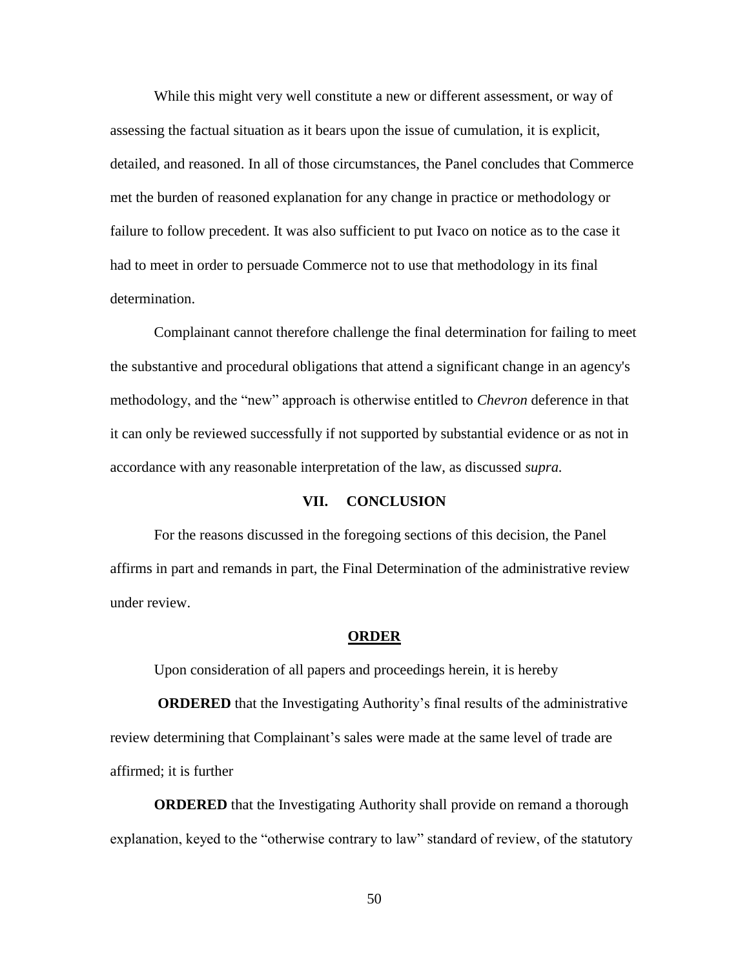While this might very well constitute a new or different assessment, or way of assessing the factual situation as it bears upon the issue of cumulation, it is explicit, detailed, and reasoned. In all of those circumstances, the Panel concludes that Commerce met the burden of reasoned explanation for any change in practice or methodology or failure to follow precedent. It was also sufficient to put Ivaco on notice as to the case it had to meet in order to persuade Commerce not to use that methodology in its final determination.

Complainant cannot therefore challenge the final determination for failing to meet the substantive and procedural obligations that attend a significant change in an agency's methodology, and the "new" approach is otherwise entitled to *Chevron* deference in that it can only be reviewed successfully if not supported by substantial evidence or as not in accordance with any reasonable interpretation of the law, as discussed *supra.*

## **VII. CONCLUSION**

For the reasons discussed in the foregoing sections of this decision, the Panel affirms in part and remands in part, the Final Determination of the administrative review under review.

#### **ORDER**

Upon consideration of all papers and proceedings herein, it is hereby

**ORDERED** that the Investigating Authority's final results of the administrative review determining that Complainant's sales were made at the same level of trade are affirmed; it is further

**ORDERED** that the Investigating Authority shall provide on remand a thorough explanation, keyed to the "otherwise contrary to law" standard of review, of the statutory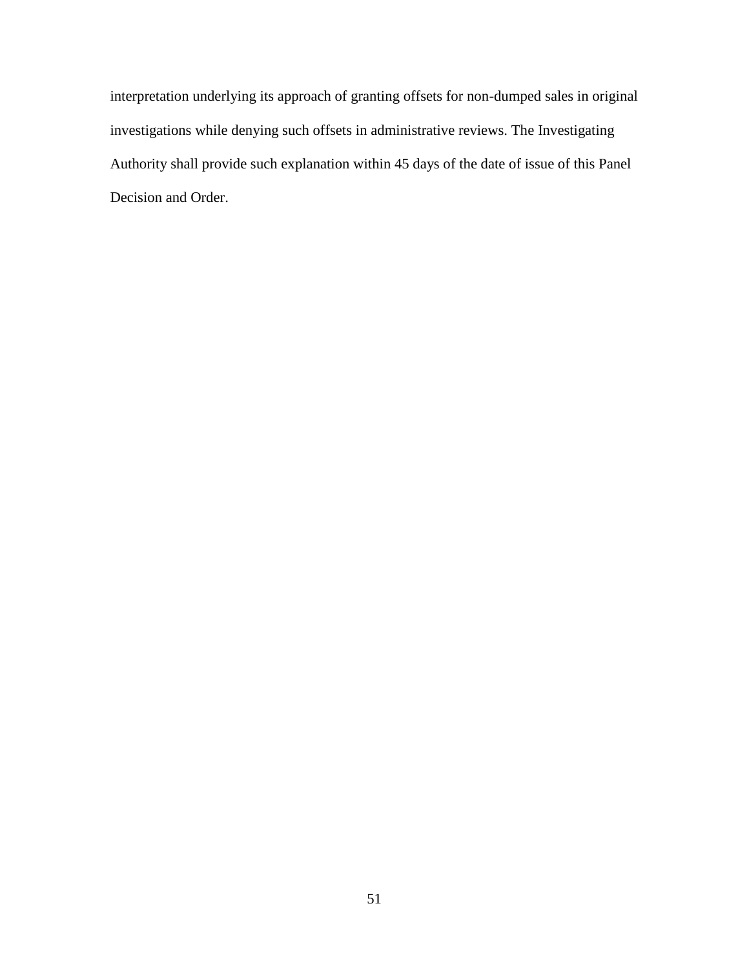interpretation underlying its approach of granting offsets for non-dumped sales in original investigations while denying such offsets in administrative reviews. The Investigating Authority shall provide such explanation within 45 days of the date of issue of this Panel Decision and Order.